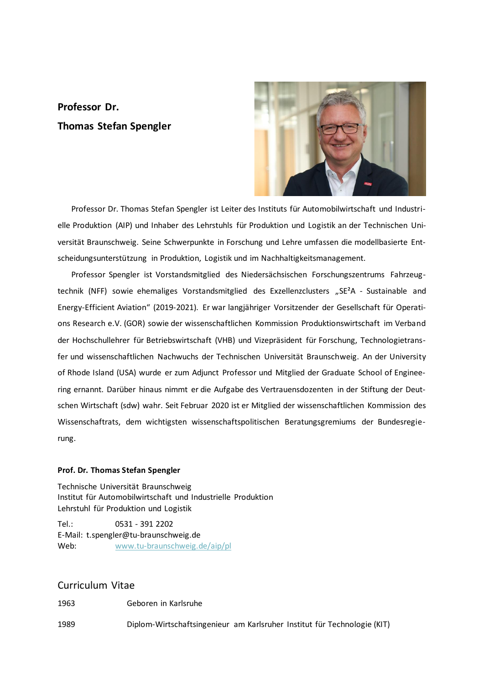# **Professor Dr. Thomas Stefan Spengler**



Professor Dr. Thomas Stefan Spengler ist Leiter des Instituts für Automobilwirtschaft und Industrielle Produktion (AIP) und Inhaber des Lehrstuhls für Produktion und Logistik an der Technischen Universität Braunschweig. Seine Schwerpunkte in Forschung und Lehre umfassen die modellbasierte Entscheidungsunterstützung in Produktion, Logistik und im Nachhaltigkeitsmanagement.

Professor Spengler ist Vorstandsmitglied des Niedersächsischen Forschungszentrums Fahrzeugtechnik (NFF) sowie ehemaliges Vorstandsmitglied des Exzellenzclusters "SE<sup>2</sup>A - Sustainable and Energy-Efficient Aviation" (2019-2021). Er war langjähriger Vorsitzender der Gesellschaft für Operations Research e.V. (GOR) sowie der wissenschaftlichen Kommission Produktionswirtschaft im Verband der Hochschullehrer für Betriebswirtschaft (VHB) und Vizepräsident für Forschung, Technologietransfer und wissenschaftlichen Nachwuchs der Technischen Universität Braunschweig. An der University of Rhode Island (USA) wurde er zum Adjunct Professor und Mitglied der Graduate School of Engineering ernannt. Darüber hinaus nimmt er die Aufgabe des Vertrauensdozenten in der Stiftung der Deutschen Wirtschaft (sdw) wahr. Seit Februar 2020 ist er Mitglied der wissenschaftlichen Kommission des Wissenschaftrats, dem wichtigsten wissenschaftspolitischen Beratungsgremiums der Bundesregierung.

#### **Prof. Dr. Thomas Stefan Spengler**

Technische Universität Braunschweig Institut für Automobilwirtschaft und Industrielle Produktion Lehrstuhl für Produktion und Logistik

Tel.: 0531 - 391 2202 E-Mail: t.spengler@tu-braunschweig.de Web: [www.tu-braunschweig.de/aip/pl](http://www.tu-braunschweig.de/aip/pl)

# Curriculum Vitae

1963 Geboren in Karlsruhe

1989 Diplom-Wirtschaftsingenieur am Karlsruher Institut für Technologie (KIT)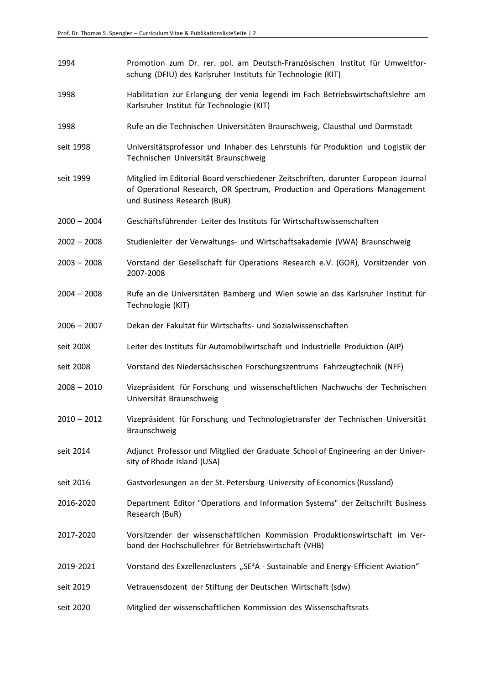- 1994 Promotion zum Dr. rer. pol. am Deutsch-Französischen Institut für Umweltforschung (DFIU) des Karlsruher Instituts für Technologie (KIT)
- 1998 Habilitation zur Erlangung der venia legendi im Fach Betriebswirtschaftslehre am Karlsruher Institut für Technologie (KIT)
- 1998 Rufe an die Technischen Universitäten Braunschweig, Clausthal und Darmstadt
- seit 1998 Universitätsprofessor und Inhaber des Lehrstuhls für Produktion und Logistik der Technischen Universität Braunschweig
- seit 1999 Mitglied im Editorial Board verschiedener Zeitschriften, darunter European Journal of Operational Research, OR Spectrum, Production and Operations Management und Business Research (BuR)
- 2000 2004 Geschäftsführender Leiter des Instituts für Wirtschaftswissenschaften
- 2002 2008 Studienleiter der Verwaltungs- und Wirtschaftsakademie (VWA) Braunschweig
- 2003 2008 Vorstand der Gesellschaft für Operations Research e.V. (GOR), Vorsitzender von 2007-2008
- 2004 2008 Rufe an die Universitäten Bamberg und Wien sowie an das Karlsruher Institut für Technologie (KIT)
- 2006 2007 Dekan der Fakultät für Wirtschafts- und Sozialwissenschaften
- seit 2008 Leiter des Instituts für Automobilwirtschaft und Industrielle Produktion (AIP)
- seit 2008 Vorstand des Niedersächsischen Forschungszentrums Fahrzeugtechnik (NFF)
- 2008 2010 Vizepräsident für Forschung und wissenschaftlichen Nachwuchs der Technischen Universität Braunschweig
- 2010 2012 Vizepräsident für Forschung und Technologietransfer der Technischen Universität Braunschweig
- seit 2014 Adjunct Professor und Mitglied der Graduate School of Engineering an der University of Rhode Island (USA)
- seit 2016 Gastvorlesungen an der St. Petersburg University of Economics (Russland)
- 2016-2020 Department Editor "Operations and Information Systems" der Zeitschrift Business Research (BuR)
- 2017-2020 Vorsitzender der wissenschaftlichen Kommission Produktionswirtschaft im Verband der Hochschullehrer für Betriebswirtschaft (VHB)
- 2019-2021 Vorstand des Exzellenzclusters "SE<sup>2</sup>A Sustainable and Energy-Efficient Aviation"
- seit 2019 Vetrauensdozent der Stiftung der Deutschen Wirtschaft (sdw)
- seit 2020 Mitglied der wissenschaftlichen Kommission des Wissenschaftsrats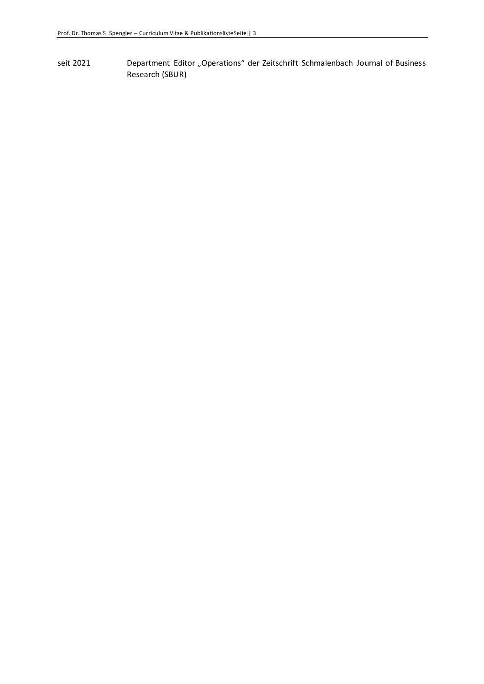seit 2021 Department Editor "Operations" der Zeitschrift Schmalenbach Journal of Business Research (SBUR)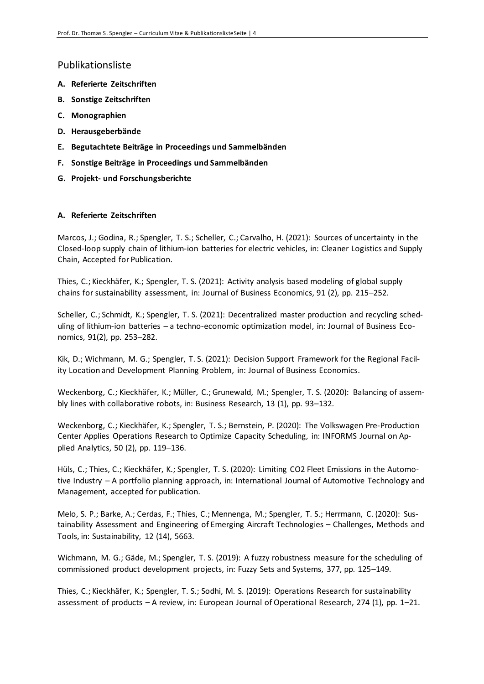# Publikationsliste

- **A. Referierte Zeitschriften**
- **B. Sonstige Zeitschriften**
- **C. Monographien**
- **D. Herausgeberbände**
- **E. Begutachtete Beiträge in Proceedings und Sammelbänden**
- **F. Sonstige Beiträge in Proceedings und Sammelbänden**
- **G. Projekt- und Forschungsberichte**

#### **A. Referierte Zeitschriften**

Marcos, J.; Godina, R.; Spengler, T. S.; Scheller, C.; Carvalho, H. (2021): Sources of uncertainty in the Closed-loop supply chain of lithium-ion batteries for electric vehicles, in: Cleaner Logistics and Supply Chain, Accepted for Publication.

Thies, C.; Kieckhäfer, K.; Spengler, T. S. (2021): Activity analysis based modeling of global supply chains for sustainability assessment, in: Journal of Business Economics, 91 (2), pp. 215–252.

Scheller, C.; Schmidt, K.; Spengler, T. S. (2021): Decentralized master production and recycling scheduling of lithium-ion batteries – a techno-economic optimization model, in: Journal of Business Economics, 91(2), pp. 253–282.

Kik, D.; Wichmann, M. G.; Spengler, T. S. (2021): [Decision Support Framework for the Regional Facil](http://link.springer.com/article/10.1007/s11573-021-01050-z)[ity Location and Development Planning Problem,](http://link.springer.com/article/10.1007/s11573-021-01050-z) in: Journal of Business Economics.

Weckenborg, C.; Kieckhäfer, K.; Müller, C.; Grunewald, M.; Spengler, T. S. (2020): Balancing of assembly lines with collaborative robots, in: Business Research, 13 (1), pp. 93–132.

Weckenborg, C.; Kieckhäfer, K.; Spengler, T. S.; Bernstein, P. (2020): The Volkswagen Pre-Production Center Applies Operations Research to Optimize Capacity Scheduling, in: INFORMS Journal on Applied Analytics, 50 (2), pp. 119–136.

Hüls, C.; Thies, C.; Kieckhäfer, K.; Spengler, T. S. (2020): Limiting CO2 Fleet Emissions in the Automotive Industry – A portfolio planning approach, in: International Journal of Automotive Technology and Management, accepted for publication.

Melo, S. P.; Barke, A.; Cerdas, F.; Thies, C.; Mennenga, M.; Spengler, T. S.; Herrmann, C. (2020): Sustainability Assessment and Engineering of Emerging Aircraft Technologies – Challenges, Methods and Tools, in: Sustainability, 12 (14), 5663.

Wichmann, M. G.; Gäde, M.; Spengler, T. S. (2019): A fuzzy robustness measure for the scheduling of commissioned product development projects, in: Fuzzy Sets and Systems, 377, pp. 125–149.

Thies, C.; Kieckhäfer, K.; Spengler, T. S.; Sodhi, M. S. (2019): Operations Research for sustainability assessment of products – A review, in: European Journal of Operational Research, 274 (1), pp. 1–21.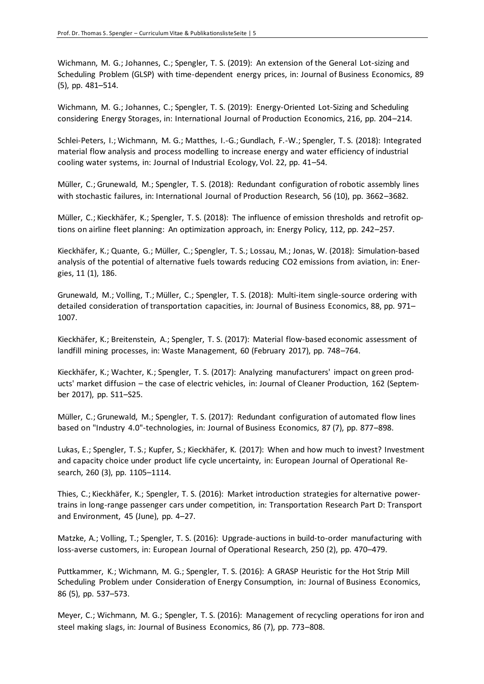Wichmann, M. G.; Johannes, C.; Spengler, T. S. (2019): An extension of the General Lot-sizing and Scheduling Problem (GLSP) with time-dependent energy prices, in: Journal of Business Economics, 89 (5), pp. 481–514.

Wichmann, M. G.; Johannes, C.; Spengler, T. S. (2019): Energy-Oriented Lot-Sizing and Scheduling considering Energy Storages, in: International Journal of Production Economics, 216, pp. 204–214.

Schlei-Peters, I.; Wichmann, M. G.; Matthes, I.-G.; Gundlach, F.-W.; Spengler, T. S. (2018): Integrated material flow analysis and process modelling to increase energy and water efficiency of industrial cooling water systems, in: Journal of Industrial Ecology, Vol. 22, pp. 41–54.

Müller, C.; Grunewald, M.; Spengler, T. S. (2018): Redundant configuration of robotic assembly lines with stochastic failures, in: International Journal of Production Research, 56 (10), pp. 3662–3682.

Müller, C.; Kieckhäfer, K.; Spengler, T. S. (2018): The influence of emission thresholds and retrofit options on airline fleet planning: An optimization approach, in: Energy Policy, 112, pp. 242–257.

Kieckhäfer, K.; Quante, G.; Müller, C.; Spengler, T. S.; Lossau, M.; Jonas, W. (2018): Simulation-based analysis of the potential of alternative fuels towards reducing CO2 emissions from aviation, in: Energies, 11 (1), 186.

Grunewald, M.; Volling, T.; Müller, C.; Spengler, T. S. (2018): Multi-item single-source ordering with detailed consideration of transportation capacities, in: Journal of Business Economics, 88, pp. 971– 1007.

Kieckhäfer, K.; Breitenstein, A.; Spengler, T. S. (2017): Material flow-based economic assessment of landfill mining processes, in: Waste Management, 60 (February 2017), pp. 748–764.

Kieckhäfer, K.; Wachter, K.; Spengler, T. S. (2017): Analyzing manufacturers' impact on green products' market diffusion – the case of electric vehicles, in: Journal of Cleaner Production, 162 (September 2017), pp. S11–S25.

Müller, C.; Grunewald, M.; Spengler, T. S. (2017): Redundant configuration of automated flow lines based on "Industry 4.0"-technologies, in: Journal of Business Economics, 87 (7), pp. 877–898.

Lukas, E.; Spengler, T. S.; Kupfer, S.; Kieckhäfer, K. (2017): When and how much to invest? Investment and capacity choice under product life cycle uncertainty, in: European Journal of Operational Research, 260 (3), pp. 1105–1114.

Thies, C.; Kieckhäfer, K.; Spengler, T. S. (2016): Market introduction strategies for alternative powertrains in long-range passenger cars under competition, in: Transportation Research Part D: Transport and Environment, 45 (June), pp. 4–27.

Matzke, A.; Volling, T.; Spengler, T. S. (2016): Upgrade-auctions in build-to-order manufacturing with loss-averse customers, in: European Journal of Operational Research, 250 (2), pp. 470–479.

Puttkammer, K.; Wichmann, M. G.; Spengler, T. S. (2016): A GRASP Heuristic for the Hot Strip Mill Scheduling Problem under Consideration of Energy Consumption, in: Journal of Business Economics, 86 (5), pp. 537–573.

Meyer, C.; Wichmann, M. G.; Spengler, T. S. (2016): Management of recycling operations for iron and steel making slags, in: Journal of Business Economics, 86 (7), pp. 773–808.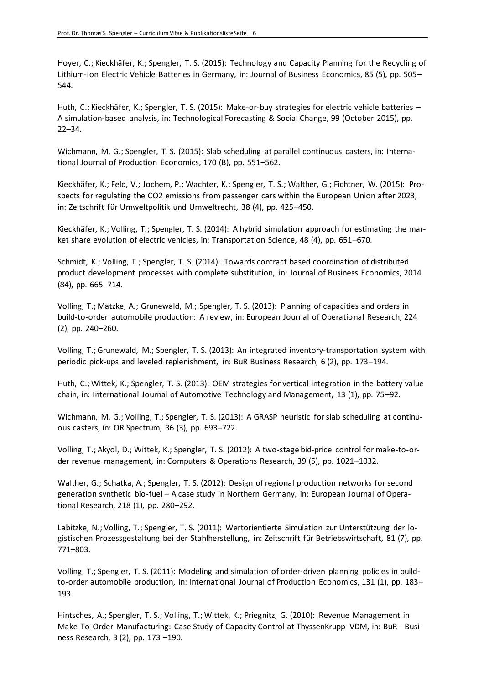Hoyer, C.; Kieckhäfer, K.; Spengler, T. S. (2015): Technology and Capacity Planning for the Recycling of Lithium-Ion Electric Vehicle Batteries in Germany, in: Journal of Business Economics, 85 (5), pp. 505– 544.

Huth, C.; Kieckhäfer, K.; Spengler, T. S. (2015): Make-or-buy strategies for electric vehicle batteries – A simulation-based analysis, in: Technological Forecasting & Social Change, 99 (October 2015), pp. 22–34.

Wichmann, M. G.; Spengler, T. S. (2015): Slab scheduling at parallel continuous casters, in: International Journal of Production Economics, 170 (B), pp. 551–562.

Kieckhäfer, K.; Feld, V.; Jochem, P.; Wachter, K.; Spengler, T. S.; Walther, G.; Fichtner, W. (2015): Prospects for regulating the CO2 emissions from passenger cars within the European Union after 2023, in: Zeitschrift für Umweltpolitik und Umweltrecht, 38 (4), pp. 425–450.

Kieckhäfer, K.; Volling, T.; Spengler, T. S. (2014): A hybrid simulation approach for estimating the market share evolution of electric vehicles, in: Transportation Science, 48 (4), pp. 651–670.

Schmidt, K.; Volling, T.; Spengler, T. S. (2014): Towards contract based coordination of distributed product development processes with complete substitution, in: Journal of Business Economics, 2014 (84), pp. 665–714.

Volling, T.; Matzke, A.; Grunewald, M.; Spengler, T. S. (2013): Planning of capacities and orders in build-to-order automobile production: A review, in: European Journal of Operational Research, 224 (2), pp. 240–260.

Volling, T.; Grunewald, M.; Spengler, T. S. (2013): An integrated inventory-transportation system with periodic pick-ups and leveled replenishment, in: BuR Business Research, 6 (2), pp. 173–194.

Huth, C.; Wittek, K.; Spengler, T. S. (2013): OEM strategies for vertical integration in the battery value chain, in: International Journal of Automotive Technology and Management, 13 (1), pp. 75–92.

Wichmann, M. G.; Volling, T.; Spengler, T. S. (2013): A GRASP heuristic for slab scheduling at continuous casters, in: OR Spectrum, 36 (3), pp. 693–722.

Volling, T.; Akyol, D.; Wittek, K.; Spengler, T. S. (2012): A two-stage bid-price control for make-to-order revenue management, in: Computers & Operations Research, 39 (5), pp. 1021–1032.

Walther, G.; Schatka, A.; Spengler, T. S. (2012): Design of regional production networks for second generation synthetic bio-fuel – A case study in Northern Germany, in: European Journal of Operational Research, 218 (1), pp. 280–292.

Labitzke, N.; Volling, T.; Spengler, T. S. (2011): Wertorientierte Simulation zur Unterstützung der logistischen Prozessgestaltung bei der Stahlherstellung, in: Zeitschrift für Betriebswirtschaft, 81 (7), pp. 771–803.

Volling, T.; Spengler, T. S. (2011): Modeling and simulation of order-driven planning policies in buildto-order automobile production, in: International Journal of Production Economics, 131 (1), pp. 183– 193.

Hintsches, A.; Spengler, T. S.; Volling, T.; Wittek, K.; Priegnitz, G. (2010): Revenue Management in Make-To-Order Manufacturing: Case Study of Capacity Control at ThyssenKrupp VDM, in: BuR - Business Research, 3 (2), pp. 173 –190.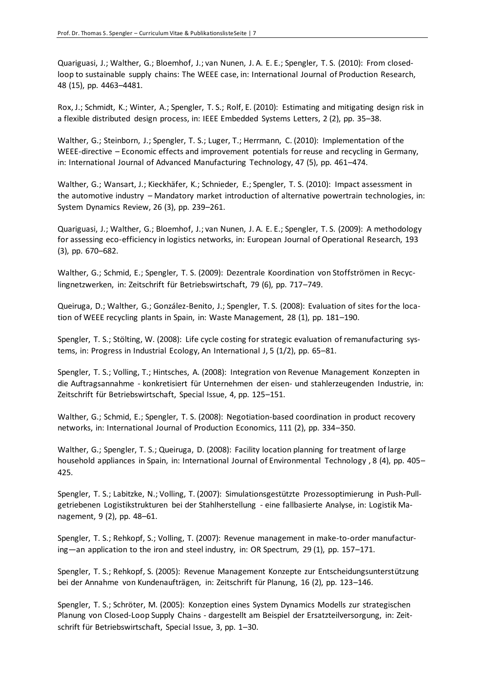Quariguasi, J.; Walther, G.; Bloemhof, J.; van Nunen, J. A. E. E.; Spengler, T. S. (2010): From closedloop to sustainable supply chains: The WEEE case, in: International Journal of Production Research, 48 (15), pp. 4463–4481.

Rox, J.; Schmidt, K.; Winter, A.; Spengler, T. S.; Rolf, E. (2010): Estimating and mitigating design risk in a flexible distributed design process, in: IEEE Embedded Systems Letters, 2 (2), pp. 35–38.

Walther, G.; Steinborn, J.; Spengler, T. S.; Luger, T.; Herrmann, C. (2010): Implementation of the WEEE-directive – Economic effects and improvement potentials for reuse and recycling in Germany, in: International Journal of Advanced Manufacturing Technology, 47 (5), pp. 461–474.

Walther, G.; Wansart, J.; Kieckhäfer, K.; Schnieder, E.; Spengler, T. S. (2010): Impact assessment in the automotive industry – Mandatory market introduction of alternative powertrain technologies, in: System Dynamics Review, 26 (3), pp. 239–261.

Quariguasi, J.; Walther, G.; Bloemhof, J.; van Nunen, J. A. E. E.; Spengler, T. S. (2009): A methodology for assessing eco-efficiency in logistics networks, in: European Journal of Operational Research, 193 (3), pp. 670–682.

Walther, G.; Schmid, E.; Spengler, T. S. (2009): Dezentrale Koordination von Stoffströmen in Recyclingnetzwerken, in: Zeitschrift für Betriebswirtschaft, 79 (6), pp. 717–749.

Queiruga, D.; Walther, G.; González-Benito, J.; Spengler, T. S. (2008): Evaluation of sites for the location of WEEE recycling plants in Spain, in: Waste Management, 28 (1), pp. 181–190.

Spengler, T. S.; Stölting, W. (2008): Life cycle costing for strategic evaluation of remanufacturing systems, in: Progress in Industrial Ecology, An International J, 5 (1/2), pp. 65–81.

Spengler, T. S.; Volling, T.; Hintsches, A. (2008): Integration von Revenue Management Konzepten in die Auftragsannahme - konkretisiert für Unternehmen der eisen- und stahlerzeugenden Industrie, in: Zeitschrift für Betriebswirtschaft, Special Issue, 4, pp. 125–151.

Walther, G.; Schmid, E.; Spengler, T. S. (2008): Negotiation-based coordination in product recovery networks, in: International Journal of Production Economics, 111 (2), pp. 334–350.

Walther, G.; Spengler, T. S.; Queiruga, D. (2008): Facility location planning for treatment of large household appliances in Spain, in: International Journal of Environmental Technology , 8 (4), pp. 405– 425.

Spengler, T. S.; Labitzke, N.; Volling, T. (2007): Simulationsgestützte Prozessoptimierung in Push-Pullgetriebenen Logistikstrukturen bei der Stahlherstellung - eine fallbasierte Analyse, in: Logistik Management, 9 (2), pp. 48–61.

Spengler, T. S.; Rehkopf, S.; Volling, T. (2007): Revenue management in make-to-order manufacturing—an application to the iron and steel industry, in: OR Spectrum, 29 (1), pp. 157–171.

Spengler, T. S.; Rehkopf, S. (2005): Revenue Management Konzepte zur Entscheidungsunterstützung bei der Annahme von Kundenaufträgen, in: Zeitschrift für Planung, 16 (2), pp. 123–146.

Spengler, T. S.; Schröter, M. (2005): Konzeption eines System Dynamics Modells zur strategischen Planung von Closed-Loop Supply Chains - dargestellt am Beispiel der Ersatzteilversorgung, in: Zeitschrift für Betriebswirtschaft, Special Issue, 3, pp. 1–30.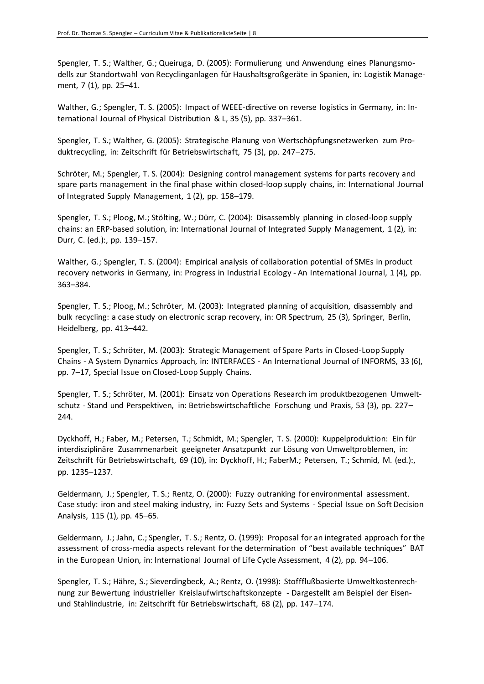Spengler, T. S.; Walther, G.; Queiruga, D. (2005): Formulierung und Anwendung eines Planungsmodells zur Standortwahl von Recyclinganlagen für Haushaltsgroßgeräte in Spanien, in: Logistik Management, 7 (1), pp. 25–41.

Walther, G.; Spengler, T. S. (2005): Impact of WEEE-directive on reverse logistics in Germany, in: International Journal of Physical Distribution & L, 35 (5), pp. 337–361.

Spengler, T. S.; Walther, G. (2005): Strategische Planung von Wertschöpfungsnetzwerken zum Produktrecycling, in: Zeitschrift für Betriebswirtschaft, 75 (3), pp. 247–275.

Schröter, M.; Spengler, T. S. (2004): Designing control management systems for parts recovery and spare parts management in the final phase within closed-loop supply chains, in: International Journal of Integrated Supply Management, 1 (2), pp. 158–179.

Spengler, T. S.; Ploog, M.; Stölting, W.; Dürr, C. (2004): Disassembly planning in closed-loop supply chains: an ERP-based solution, in: International Journal of Integrated Supply Management, 1 (2), in: Durr, C. (ed.):, pp. 139–157.

Walther, G.; Spengler, T. S. (2004): Empirical analysis of collaboration potential of SMEs in product recovery networks in Germany, in: Progress in Industrial Ecology - An International Journal, 1 (4), pp. 363–384.

Spengler, T. S.; Ploog, M.; Schröter, M. (2003): Integrated planning of acquisition, disassembly and bulk recycling: a case study on electronic scrap recovery, in: OR Spectrum, 25 (3), Springer, Berlin, Heidelberg, pp. 413–442.

Spengler, T. S.; Schröter, M. (2003): Strategic Management of Spare Parts in Closed-Loop Supply Chains - A System Dynamics Approach, in: INTERFACES - An International Journal of INFORMS, 33 (6), pp. 7–17, Special Issue on Closed-Loop Supply Chains.

Spengler, T. S.; Schröter, M. (2001): Einsatz von Operations Research im produktbezogenen Umweltschutz - Stand und Perspektiven, in: Betriebswirtschaftliche Forschung und Praxis, 53 (3), pp. 227– 244.

Dyckhoff, H.; Faber, M.; Petersen, T.; Schmidt, M.; Spengler, T. S. (2000): Kuppelproduktion: Ein für interdisziplinäre Zusammenarbeit geeigneter Ansatzpunkt zur Lösung von Umweltproblemen, in: Zeitschrift für Betriebswirtschaft, 69 (10), in: Dyckhoff, H.; FaberM.; Petersen, T.; Schmid, M. (ed.):, pp. 1235–1237.

Geldermann, J.; Spengler, T. S.; Rentz, O. (2000): Fuzzy outranking for environmental assessment. Case study: iron and steel making industry, in: Fuzzy Sets and Systems - Special Issue on Soft Decision Analysis, 115 (1), pp. 45–65.

Geldermann, J.; Jahn, C.; Spengler, T. S.; Rentz, O. (1999): Proposal for an integrated approach for the assessment of cross-media aspects relevant for the determination of "best available techniques" BAT in the European Union, in: International Journal of Life Cycle Assessment, 4 (2), pp. 94–106.

Spengler, T. S.; Hähre, S.; Sieverdingbeck, A.; Rentz, O. (1998): Stoffflußbasierte Umweltkostenrechnung zur Bewertung industrieller Kreislaufwirtschaftskonzepte - Dargestellt am Beispiel der Eisenund Stahlindustrie, in: Zeitschrift für Betriebswirtschaft, 68 (2), pp. 147–174.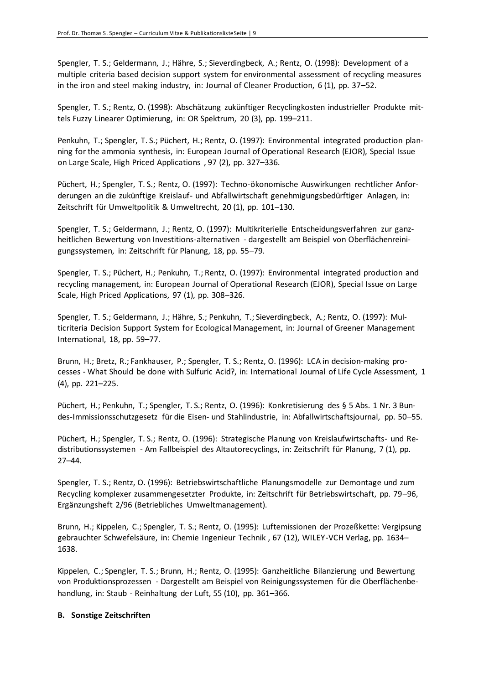Spengler, T. S.; Geldermann, J.; Hähre, S.; Sieverdingbeck, A.; Rentz, O. (1998): Development of a multiple criteria based decision support system for environmental assessment of recycling measures in the iron and steel making industry, in: Journal of Cleaner Production, 6 (1), pp. 37–52.

Spengler, T. S.; Rentz, O. (1998): Abschätzung zukünftiger Recyclingkosten industrieller Produkte mittels Fuzzy Linearer Optimierung, in: OR Spektrum, 20 (3), pp. 199–211.

Penkuhn, T.; Spengler, T. S.; Püchert, H.; Rentz, O. (1997): Environmental integrated production planning for the ammonia synthesis, in: European Journal of Operational Research (EJOR), Special Issue on Large Scale, High Priced Applications , 97 (2), pp. 327–336.

Püchert, H.; Spengler, T. S.; Rentz, O. (1997): Techno-ökonomische Auswirkungen rechtlicher Anforderungen an die zukünftige Kreislauf- und Abfallwirtschaft genehmigungsbedürftiger Anlagen, in: Zeitschrift für Umweltpolitik & Umweltrecht, 20 (1), pp. 101–130.

Spengler, T. S.; Geldermann, J.; Rentz, O. (1997): Multikriterielle Entscheidungsverfahren zur ganzheitlichen Bewertung von Investitions-alternativen - dargestellt am Beispiel von Oberflächenreinigungssystemen, in: Zeitschrift für Planung, 18, pp. 55–79.

Spengler, T. S.; Püchert, H.; Penkuhn, T.; Rentz, O. (1997): Environmental integrated production and recycling management, in: European Journal of Operational Research (EJOR), Special Issue on Large Scale, High Priced Applications, 97 (1), pp. 308–326.

Spengler, T. S.; Geldermann, J.; Hähre, S.; Penkuhn, T.; Sieverdingbeck, A.; Rentz, O. (1997): Multicriteria Decision Support System for Ecological Management, in: Journal of Greener Management International, 18, pp. 59–77.

Brunn, H.; Bretz, R.; Fankhauser, P.; Spengler, T. S.; Rentz, O. (1996): LCA in decision-making processes - What Should be done with Sulfuric Acid?, in: International Journal of Life Cycle Assessment, 1 (4), pp. 221–225.

Püchert, H.; Penkuhn, T.; Spengler, T. S.; Rentz, O. (1996): Konkretisierung des § 5 Abs. 1 Nr. 3 Bundes-Immissionsschutzgesetz für die Eisen- und Stahlindustrie, in: Abfallwirtschaftsjournal, pp. 50–55.

Püchert, H.; Spengler, T. S.; Rentz, O. (1996): Strategische Planung von Kreislaufwirtschafts- und Redistributionssystemen - Am Fallbeispiel des Altautorecyclings, in: Zeitschrift für Planung, 7 (1), pp. 27–44.

Spengler, T. S.; Rentz, O. (1996): Betriebswirtschaftliche Planungsmodelle zur Demontage und zum Recycling komplexer zusammengesetzter Produkte, in: Zeitschrift für Betriebswirtschaft, pp. 79–96, Ergänzungsheft 2/96 (Betriebliches Umweltmanagement).

Brunn, H.; Kippelen, C.; Spengler, T. S.; Rentz, O. (1995): Luftemissionen der Prozeßkette: Vergipsung gebrauchter Schwefelsäure, in: Chemie Ingenieur Technik , 67 (12), WILEY-VCH Verlag, pp. 1634– 1638.

Kippelen, C.; Spengler, T. S.; Brunn, H.; Rentz, O. (1995): Ganzheitliche Bilanzierung und Bewertung von Produktionsprozessen - Dargestellt am Beispiel von Reinigungssystemen für die Oberflächenbehandlung, in: Staub - Reinhaltung der Luft, 55 (10), pp. 361–366.

#### **B. Sonstige Zeitschriften**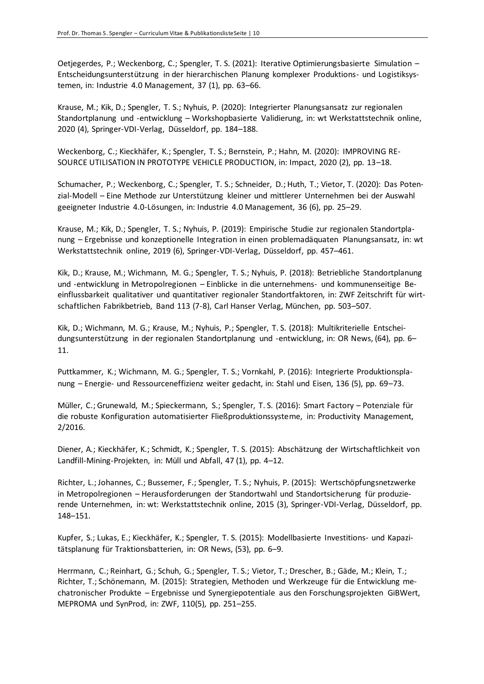Oetjegerdes, P.; Weckenborg, C.; Spengler, T. S. (2021): [Iterative Optimierungsbasierte Simulation](https://doi.org/10.30844/I40M_21-1_S63-66) – [Entscheidungsunterstützung in der hierarchischen Planung komplexer Produktions-](https://doi.org/10.30844/I40M_21-1_S63-66) und Logistiksys[temen,](https://doi.org/10.30844/I40M_21-1_S63-66) in: Industrie 4.0 Management, 37 (1), pp. 63–66.

Krause, M.; Kik, D.; Spengler, T. S.; Nyhuis, P. (2020): Integrierter Planungsansatz zur regionalen Standortplanung und -entwicklung – Workshopbasierte Validierung, in: wt Werkstattstechnik online, 2020 (4), Springer-VDI-Verlag, Düsseldorf, pp. 184–188.

Weckenborg, C.; Kieckhäfer, K.; Spengler, T. S.; Bernstein, P.; Hahn, M. (2020): IMPROVING RE-SOURCE UTILISATION IN PROTOTYPE VEHICLE PRODUCTION, in: Impact, 2020 (2), pp. 13–18.

Schumacher, P.; Weckenborg, C.; Spengler, T. S.; Schneider, D.; Huth, T.; Vietor, T. (2020): [Das Poten](http://doi.org/10.30844/I40M_20-6_S25-29)zial-Modell – [Eine Methode zur Unterstützung kleiner und mittlerer Unternehmen bei der Auswahl](http://doi.org/10.30844/I40M_20-6_S25-29)  [geeigneter Industrie 4.0-Lösungen,](http://doi.org/10.30844/I40M_20-6_S25-29) in: Industrie 4.0 Management, 36 (6), pp. 25–29.

Krause, M.; Kik, D.; Spengler, T. S.; Nyhuis, P. (2019): Empirische Studie zur regionalen Standortplanung – Ergebnisse und konzeptionelle Integration in einen problemadäquaten Planungsansatz, in: wt Werkstattstechnik online, 2019 (6), Springer-VDI-Verlag, Düsseldorf, pp. 457–461.

Kik, D.; Krause, M.; Wichmann, M. G.; Spengler, T. S.; Nyhuis, P. (2018): Betriebliche Standortplanung und -entwicklung in Metropolregionen – Einblicke in die unternehmens- und kommunenseitige Beeinflussbarkeit qualitativer und quantitativer regionaler Standortfaktoren, in: ZWF Zeitschrift für wirtschaftlichen Fabrikbetrieb, Band 113 (7-8), Carl Hanser Verlag, München, pp. 503–507.

Kik, D.; Wichmann, M. G.; Krause, M.; Nyhuis, P.; Spengler, T. S. (2018): Multikriterielle Entscheidungsunterstützung in der regionalen Standortplanung und -entwicklung, in: OR News, (64), pp. 6– 11.

Puttkammer, K.; Wichmann, M. G.; Spengler, T. S.; Vornkahl, P. (2016): Integrierte Produktionsplanung – Energie- und Ressourceneffizienz weiter gedacht, in: Stahl und Eisen, 136 (5), pp. 69–73.

Müller, C.; Grunewald, M.; Spieckermann, S.; Spengler, T. S. (2016): Smart Factory – Potenziale für die robuste Konfiguration automatisierter Fließproduktionssysteme, in: Productivity Management, 2/2016.

Diener, A.; Kieckhäfer, K.; Schmidt, K.; Spengler, T. S. (2015): Abschätzung der Wirtschaftlichkeit von Landfill-Mining-Projekten, in: Müll und Abfall, 47 (1), pp. 4–12.

Richter, L.; Johannes, C.; Bussemer, F.; Spengler, T. S.; Nyhuis, P. (2015): Wertschöpfungsnetzwerke in Metropolregionen – Herausforderungen der Standortwahl und Standortsicherung für produzierende Unternehmen, in: wt: Werkstattstechnik online, 2015 (3), Springer-VDI-Verlag, Düsseldorf, pp. 148–151.

Kupfer, S.; Lukas, E.; Kieckhäfer, K.; Spengler, T. S. (2015): Modellbasierte Investitions- und Kapazitätsplanung für Traktionsbatterien, in: OR News, (53), pp. 6–9.

Herrmann, C.; Reinhart, G.; Schuh, G.; Spengler, T. S.; Vietor, T.; Drescher, B.; Gäde, M.; Klein, T.; Richter, T.; Schönemann, M. (2015): Strategien, Methoden und Werkzeuge für die Entwicklung mechatronischer Produkte – Ergebnisse und Synergiepotentiale aus den Forschungsprojekten GiBWert, MEPROMA und SynProd, in: ZWF, 110(5), pp. 251–255.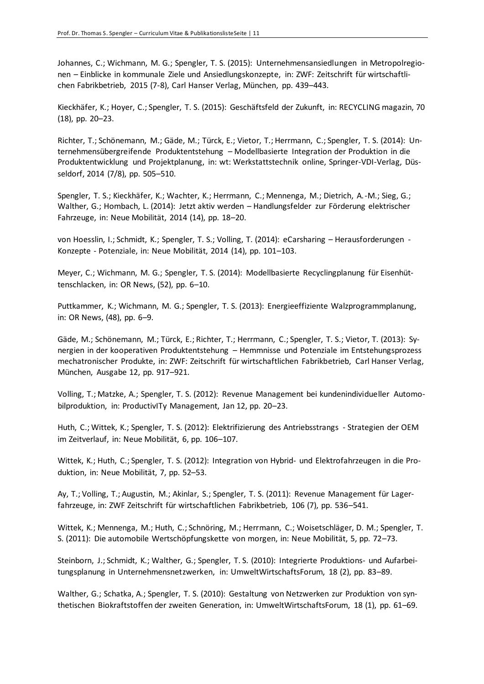Johannes, C.; Wichmann, M. G.; Spengler, T. S. (2015): Unternehmensansiedlungen in Metropolregionen – Einblicke in kommunale Ziele und Ansiedlungskonzepte, in: ZWF: Zeitschrift für wirtschaftlichen Fabrikbetrieb, 2015 (7-8), Carl Hanser Verlag, München, pp. 439–443.

Kieckhäfer, K.; Hoyer, C.; Spengler, T. S. (2015): Geschäftsfeld der Zukunft, in: RECYCLING magazin, 70 (18), pp. 20–23.

Richter, T.; Schönemann, M.; Gäde, M.; Türck, E.; Vietor, T.; Herrmann, C.; Spengler, T. S. (2014): Unternehmensübergreifende Produktentstehung – Modellbasierte Integration der Produktion in die Produktentwicklung und Projektplanung, in: wt: Werkstattstechnik online, Springer-VDI-Verlag, Düsseldorf, 2014 (7/8), pp. 505–510.

Spengler, T. S.; Kieckhäfer, K.; Wachter, K.; Herrmann, C.; Mennenga, M.; Dietrich, A.-M.; Sieg, G.; Walther, G.; Hombach, L. (2014): Jetzt aktiv werden – Handlungsfelder zur Förderung elektrischer Fahrzeuge, in: Neue Mobilität, 2014 (14), pp. 18–20.

von Hoesslin, I.; Schmidt, K.; Spengler, T. S.; Volling, T. (2014): eCarsharing – Herausforderungen - Konzepte - Potenziale, in: Neue Mobilität, 2014 (14), pp. 101–103.

Meyer, C.; Wichmann, M. G.; Spengler, T. S. (2014): Modellbasierte Recyclingplanung für Eisenhüttenschlacken, in: OR News, (52), pp. 6–10.

Puttkammer, K.; Wichmann, M. G.; Spengler, T. S. (2013): Energieeffiziente Walzprogrammplanung, in: OR News, (48), pp. 6–9.

Gäde, M.; Schönemann, M.; Türck, E.; Richter, T.; Herrmann, C.; Spengler, T. S.; Vietor, T. (2013): Synergien in der kooperativen Produktentstehung – Hemmnisse und Potenziale im Entstehungsprozess mechatronischer Produkte, in: ZWF: Zeitschrift für wirtschaftlichen Fabrikbetrieb, Carl Hanser Verlag, München, Ausgabe 12, pp. 917–921.

Volling, T.; Matzke, A.; Spengler, T. S. (2012): Revenue Management bei kundenindividueller Automobilproduktion, in: ProductivITy Management, Jan 12, pp. 20–23.

Huth, C.; Wittek, K.; Spengler, T. S. (2012): Elektrifizierung des Antriebsstrangs - Strategien der OEM im Zeitverlauf, in: Neue Mobilität, 6, pp. 106–107.

Wittek, K.; Huth, C.; Spengler, T. S. (2012): Integration von Hybrid- und Elektrofahrzeugen in die Produktion, in: Neue Mobilität, 7, pp. 52–53.

Ay, T.; Volling, T.; Augustin, M.; Akinlar, S.; Spengler, T. S. (2011): Revenue Management für Lagerfahrzeuge, in: ZWF Zeitschrift für wirtschaftlichen Fabrikbetrieb, 106 (7), pp. 536–541.

Wittek, K.; Mennenga, M.; Huth, C.; Schnöring, M.; Herrmann, C.; Woisetschläger, D. M.; Spengler, T. S. (2011): Die automobile Wertschöpfungskette von morgen, in: Neue Mobilität, 5, pp. 72–73.

Steinborn, J.; Schmidt, K.; Walther, G.; Spengler, T. S. (2010): Integrierte Produktions- und Aufarbeitungsplanung in Unternehmensnetzwerken, in: UmweltWirtschaftsForum, 18 (2), pp. 83–89.

Walther, G.; Schatka, A.; Spengler, T. S. (2010): Gestaltung von Netzwerken zur Produktion von synthetischen Biokraftstoffen der zweiten Generation, in: UmweltWirtschaftsForum, 18 (1), pp. 61–69.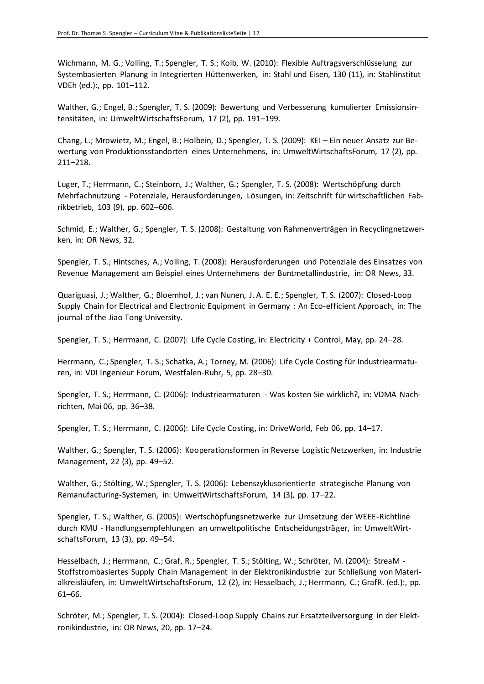Wichmann, M. G.; Volling, T.; Spengler, T. S.; Kolb, W. (2010): Flexible Auftragsverschlüsselung zur Systembasierten Planung in Integrierten Hüttenwerken, in: Stahl und Eisen, 130 (11), in: Stahlinstitut VDEh (ed.):, pp. 101–112.

Walther, G.; Engel, B.; Spengler, T. S. (2009): Bewertung und Verbesserung kumulierter Emissionsintensitäten, in: UmweltWirtschaftsForum, 17 (2), pp. 191–199.

Chang, L.; Mrowietz, M.; Engel, B.; Holbein, D.; Spengler, T. S. (2009): KEI – Ein neuer Ansatz zur Bewertung von Produktionsstandorten eines Unternehmens, in: UmweltWirtschaftsForum, 17 (2), pp. 211–218.

Luger, T.; Herrmann, C.; Steinborn, J.; Walther, G.; Spengler, T. S. (2008): Wertschöpfung durch Mehrfachnutzung - Potenziale, Herausforderungen, Lösungen, in: Zeitschrift für wirtschaftlichen Fabrikbetrieb, 103 (9), pp. 602–606.

Schmid, E.; Walther, G.; Spengler, T. S. (2008): Gestaltung von Rahmenverträgen in Recyclingnetzwerken, in: OR News, 32.

Spengler, T. S.; Hintsches, A.; Volling, T. (2008): Herausforderungen und Potenziale des Einsatzes von Revenue Management am Beispiel eines Unternehmens der Buntmetallindustrie, in: OR News, 33.

Quariguasi, J.; Walther, G.; Bloemhof, J.; van Nunen, J. A. E. E.; Spengler, T. S. (2007): Closed-Loop Supply Chain for Electrical and Electronic Equipment in Germany : An Eco-efficient Approach, in: The journal of the Jiao Tong University.

Spengler, T. S.; Herrmann, C. (2007): Life Cycle Costing, in: Electricity + Control, May, pp. 24–28.

Herrmann, C.; Spengler, T. S.; Schatka, A.; Torney, M. (2006): Life Cycle Costing für Industriearmaturen, in: VDI Ingenieur Forum, Westfalen-Ruhr, 5, pp. 28–30.

Spengler, T. S.; Herrmann, C. (2006): Industriearmaturen - Was kosten Sie wirklich?, in: VDMA Nachrichten, Mai 06, pp. 36–38.

Spengler, T. S.; Herrmann, C. (2006): Life Cycle Costing, in: DriveWorld, Feb 06, pp. 14–17.

Walther, G.; Spengler, T. S. (2006): Kooperationsformen in Reverse Logistic Netzwerken, in: Industrie Management, 22 (3), pp. 49–52.

Walther, G.; Stölting, W.; Spengler, T. S. (2006): Lebenszyklusorientierte strategische Planung von Remanufacturing-Systemen, in: UmweltWirtschaftsForum, 14 (3), pp. 17–22.

Spengler, T. S.; Walther, G. (2005): Wertschöpfungsnetzwerke zur Umsetzung der WEEE-Richtline durch KMU - Handlungsempfehlungen an umweltpolitische Entscheidungsträger, in: UmweltWirtschaftsForum, 13 (3), pp. 49–54.

Hesselbach, J.; Herrmann, C.; Graf, R.; Spengler, T. S.; Stölting, W.; Schröter, M. (2004): StreaM - Stoffstrombasiertes Supply Chain Management in der Elektronikindustrie zur Schließung von Materialkreisläufen, in: UmweltWirtschaftsForum, 12 (2), in: Hesselbach, J.; Herrmann, C.; GrafR. (ed.):, pp. 61–66.

Schröter, M.; Spengler, T. S. (2004): Closed-Loop Supply Chains zur Ersatzteilversorgung in der Elektronikindustrie, in: OR News, 20, pp. 17–24.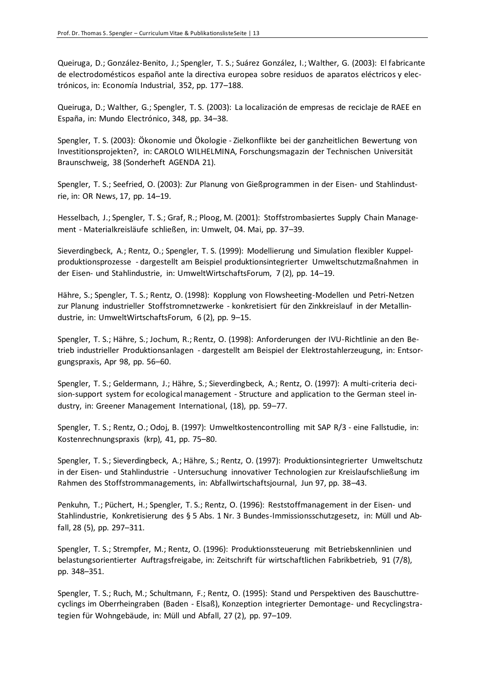Queiruga, D.; González-Benito, J.; Spengler, T. S.; Suárez González, I.; Walther, G. (2003): El fabricante de electrodomésticos español ante la directiva europea sobre residuos de aparatos eléctricos y electrónicos, in: Economía Industrial, 352, pp. 177–188.

Queiruga, D.; Walther, G.; Spengler, T. S. (2003): La localización de empresas de reciclaje de RAEE en España, in: Mundo Electrónico, 348, pp. 34–38.

Spengler, T. S. (2003): Ökonomie und Ökologie - Zielkonflikte bei der ganzheitlichen Bewertung von Investitionsprojekten?, in: CAROLO WILHELMINA, Forschungsmagazin der Technischen Universität Braunschweig, 38 (Sonderheft AGENDA 21).

Spengler, T. S.; Seefried, O. (2003): Zur Planung von Gießprogrammen in der Eisen- und Stahlindustrie, in: OR News, 17, pp. 14–19.

Hesselbach, J.; Spengler, T. S.; Graf, R.; Ploog, M. (2001): Stoffstrombasiertes Supply Chain Management - Materialkreisläufe schließen, in: Umwelt, 04. Mai, pp. 37–39.

Sieverdingbeck, A.; Rentz, O.; Spengler, T. S. (1999): Modellierung und Simulation flexibler Kuppelproduktionsprozesse - dargestellt am Beispiel produktionsintegrierter Umweltschutzmaßnahmen in der Eisen- und Stahlindustrie, in: UmweltWirtschaftsForum, 7 (2), pp. 14–19.

Hähre, S.; Spengler, T. S.; Rentz, O. (1998): Kopplung von Flowsheeting-Modellen und Petri-Netzen zur Planung industrieller Stoffstromnetzwerke - konkretisiert für den Zinkkreislauf in der Metallindustrie, in: UmweltWirtschaftsForum, 6 (2), pp. 9–15.

Spengler, T. S.; Hähre, S.; Jochum, R.; Rentz, O. (1998): Anforderungen der IVU-Richtlinie an den Betrieb industrieller Produktionsanlagen - dargestellt am Beispiel der Elektrostahlerzeugung, in: Entsorgungspraxis, Apr 98, pp. 56–60.

Spengler, T. S.; Geldermann, J.; Hähre, S.; Sieverdingbeck, A.; Rentz, O. (1997): A multi-criteria decision-support system for ecological management - Structure and application to the German steel industry, in: Greener Management International, (18), pp. 59–77.

Spengler, T. S.; Rentz, O.; Odoj, B. (1997): Umweltkostencontrolling mit SAP R/3 - eine Fallstudie, in: Kostenrechnungspraxis (krp), 41, pp. 75–80.

Spengler, T. S.; Sieverdingbeck, A.; Hähre, S.; Rentz, O. (1997): Produktionsintegrierter Umweltschutz in der Eisen- und Stahlindustrie - Untersuchung innovativer Technologien zur Kreislaufschließung im Rahmen des Stoffstrommanagements, in: Abfallwirtschaftsjournal, Jun 97, pp. 38–43.

Penkuhn, T.; Püchert, H.; Spengler, T. S.; Rentz, O. (1996): Reststoffmanagement in der Eisen- und Stahlindustrie, Konkretisierung des § 5 Abs. 1 Nr. 3 Bundes-Immissionsschutzgesetz, in: Müll und Abfall, 28 (5), pp. 297–311.

Spengler, T. S.; Strempfer, M.; Rentz, O. (1996): Produktionssteuerung mit Betriebskennlinien und belastungsorientierter Auftragsfreigabe, in: Zeitschrift für wirtschaftlichen Fabrikbetrieb, 91 (7/8), pp. 348–351.

Spengler, T. S.; Ruch, M.; Schultmann, F.; Rentz, O. (1995): Stand und Perspektiven des Bauschuttrecyclings im Oberrheingraben (Baden - Elsaß), Konzeption integrierter Demontage- und Recyclingstrategien für Wohngebäude, in: Müll und Abfall, 27 (2), pp. 97–109.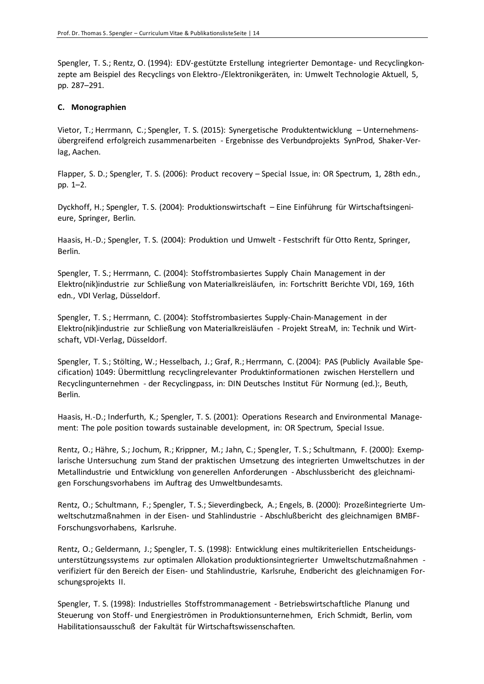Spengler, T. S.; Rentz, O. (1994): EDV-gestützte Erstellung integrierter Demontage- und Recyclingkonzepte am Beispiel des Recyclings von Elektro-/Elektronikgeräten, in: Umwelt Technologie Aktuell, 5, pp. 287–291.

#### **C. Monographien**

Vietor, T.; Herrmann, C.; Spengler, T. S. (2015): Synergetische Produktentwicklung – Unternehmensübergreifend erfolgreich zusammenarbeiten - Ergebnisse des Verbundprojekts SynProd, Shaker-Verlag, Aachen.

Flapper, S. D.; Spengler, T. S. (2006): Product recovery – Special Issue, in: OR Spectrum, 1, 28th edn., pp. 1–2.

Dyckhoff, H.; Spengler, T. S. (2004): Produktionswirtschaft – Eine Einführung für Wirtschaftsingenieure, Springer, Berlin.

Haasis, H.-D.; Spengler, T. S. (2004): Produktion und Umwelt - Festschrift für Otto Rentz, Springer, Berlin.

Spengler, T. S.; Herrmann, C. (2004): Stoffstrombasiertes Supply Chain Management in der Elektro(nik)industrie zur Schließung von Materialkreisläufen, in: Fortschritt Berichte VDI, 169, 16th edn., VDI Verlag, Düsseldorf.

Spengler, T. S.; Herrmann, C. (2004): Stoffstrombasiertes Supply-Chain-Management in der Elektro(nik)industrie zur Schließung von Materialkreisläufen - Projekt StreaM, in: Technik und Wirtschaft, VDI-Verlag, Düsseldorf.

Spengler, T. S.; Stölting, W.; Hesselbach, J.; Graf, R.; Herrmann, C. (2004): PAS (Publicly Available Specification) 1049: Übermittlung recyclingrelevanter Produktinformationen zwischen Herstellern und Recyclingunternehmen - der Recyclingpass, in: DIN Deutsches Institut Für Normung (ed.):, Beuth, Berlin.

Haasis, H.-D.; Inderfurth, K.; Spengler, T. S. (2001): Operations Research and Environmental Management: The pole position towards sustainable development, in: OR Spectrum, Special Issue.

Rentz, O.; Hähre, S.; Jochum, R.; Krippner, M.; Jahn, C.; Spengler, T. S.; Schultmann, F. (2000): Exemplarische Untersuchung zum Stand der praktischen Umsetzung des integrierten Umweltschutzes in der Metallindustrie und Entwicklung von generellen Anforderungen - Abschlussbericht des gleichnamigen Forschungsvorhabens im Auftrag des Umweltbundesamts.

Rentz, O.; Schultmann, F.; Spengler, T. S.; Sieverdingbeck, A.; Engels, B. (2000): Prozeßintegrierte Umweltschutzmaßnahmen in der Eisen- und Stahlindustrie - Abschlußbericht des gleichnamigen BMBF-Forschungsvorhabens, Karlsruhe.

Rentz, O.; Geldermann, J.; Spengler, T. S. (1998): Entwicklung eines multikriteriellen Entscheidungsunterstützungssystems zur optimalen Allokation produktionsintegrierter Umweltschutzmaßnahmen verifiziert für den Bereich der Eisen- und Stahlindustrie, Karlsruhe, Endbericht des gleichnamigen Forschungsprojekts II.

Spengler, T. S. (1998): Industrielles Stoffstrommanagement - Betriebswirtschaftliche Planung und Steuerung von Stoff- und Energieströmen in Produktionsunternehmen, Erich Schmidt, Berlin, vom Habilitationsausschuß der Fakultät für Wirtschaftswissenschaften.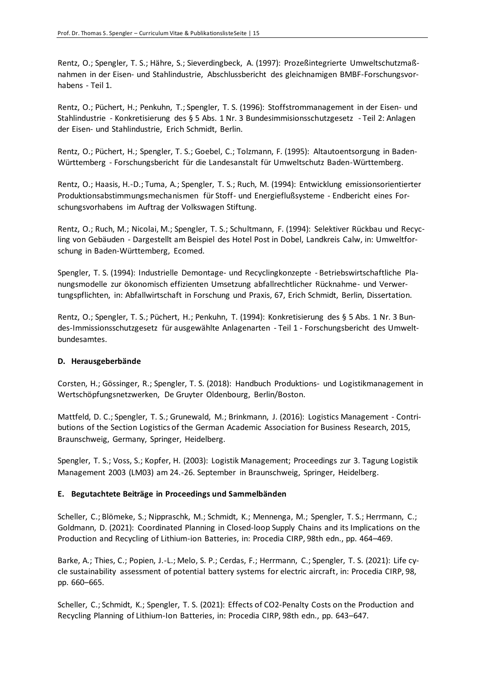Rentz, O.; Spengler, T. S.; Hähre, S.; Sieverdingbeck, A. (1997): Prozeßintegrierte Umweltschutzmaßnahmen in der Eisen- und Stahlindustrie, Abschlussbericht des gleichnamigen BMBF-Forschungsvorhabens - Teil 1.

Rentz, O.; Püchert, H.; Penkuhn, T.; Spengler, T. S. (1996): Stoffstrommanagement in der Eisen- und Stahlindustrie - Konkretisierung des § 5 Abs. 1 Nr. 3 Bundesimmisionsschutzgesetz - Teil 2: Anlagen der Eisen- und Stahlindustrie, Erich Schmidt, Berlin.

Rentz, O.; Püchert, H.; Spengler, T. S.; Goebel, C.; Tolzmann, F. (1995): Altautoentsorgung in Baden-Württemberg - Forschungsbericht für die Landesanstalt für Umweltschutz Baden-Württemberg.

Rentz, O.; Haasis, H.-D.; Tuma, A.; Spengler, T. S.; Ruch, M. (1994): Entwicklung emissionsorientierter Produktionsabstimmungsmechanismen für Stoff- und Energieflußsysteme - Endbericht eines Forschungsvorhabens im Auftrag der Volkswagen Stiftung.

Rentz, O.; Ruch, M.; Nicolai, M.; Spengler, T. S.; Schultmann, F. (1994): Selektiver Rückbau und Recycling von Gebäuden - Dargestellt am Beispiel des Hotel Post in Dobel, Landkreis Calw, in: Umweltforschung in Baden-Württemberg, Ecomed.

Spengler, T. S. (1994): Industrielle Demontage- und Recyclingkonzepte - Betriebswirtschaftliche Planungsmodelle zur ökonomisch effizienten Umsetzung abfallrechtlicher Rücknahme- und Verwertungspflichten, in: Abfallwirtschaft in Forschung und Praxis, 67, Erich Schmidt, Berlin, Dissertation.

Rentz, O.; Spengler, T. S.; Püchert, H.; Penkuhn, T. (1994): Konkretisierung des § 5 Abs. 1 Nr. 3 Bundes-Immissionsschutzgesetz für ausgewählte Anlagenarten - Teil 1 - Forschungsbericht des Umweltbundesamtes.

#### **D. Herausgeberbände**

Corsten, H.; Gössinger, R.; Spengler, T. S. (2018): Handbuch Produktions- und Logistikmanagement in Wertschöpfungsnetzwerken, De Gruyter Oldenbourg, Berlin/Boston.

Mattfeld, D. C.; Spengler, T. S.; Grunewald, M.; Brinkmann, J. (2016): Logistics Management - Contributions of the Section Logistics of the German Academic Association for Business Research, 2015, Braunschweig, Germany, Springer, Heidelberg.

Spengler, T. S.; Voss, S.; Kopfer, H. (2003): Logistik Management; Proceedings zur 3. Tagung Logistik Management 2003 (LM03) am 24.-26. September in Braunschweig, Springer, Heidelberg.

## **E. Begutachtete Beiträge in Proceedings und Sammelbänden**

Scheller, C.; Blömeke, S.; Nippraschk, M.; Schmidt, K.; Mennenga, M.; Spengler, T. S.; Herrmann, C.; Goldmann, D. (2021): [Coordinated Planning in Closed-loop Supply Chains and its Implications on the](https://doi.org/10.1016/j.procir.2021.01.135)  [Production and Recycling of Lithium-ion Batteries,](https://doi.org/10.1016/j.procir.2021.01.135) in: Procedia CIRP, 98th edn., pp. 464–469.

Barke, A.; Thies, C.; Popien, J.-L.; Melo, S. P.; Cerdas, F.; Herrmann, C.; Spengler, T. S. (2021): [Life cy](https://doi.org/10.1016/j.procir.2021.01.171)[cle sustainability assessment of potential battery systems for electric aircraft,](https://doi.org/10.1016/j.procir.2021.01.171) in: Procedia CIRP, 98, pp. 660–665.

Scheller, C.; Schmidt, K.; Spengler, T. S. (2021): [Effects of CO2-Penalty Costs on the Production and](https://doi.org/10.1016/j.procir.2021.01.168)  [Recycling Planning of Lithium-Ion Batteries,](https://doi.org/10.1016/j.procir.2021.01.168) in: Procedia CIRP, 98th edn., pp. 643–647.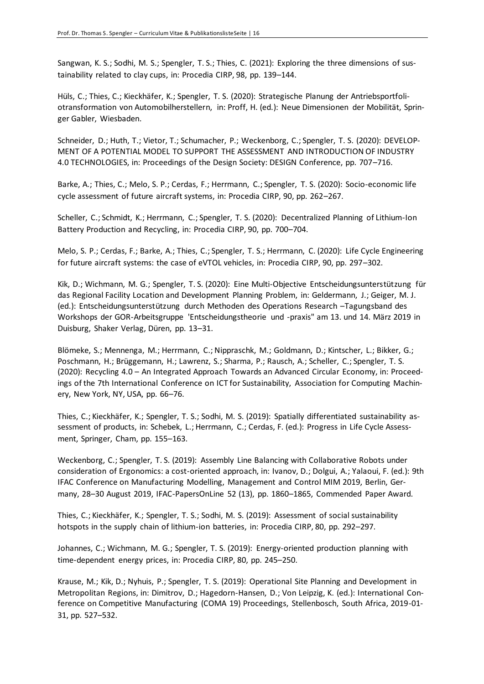Sangwan, K. S.; Sodhi, M. S.; Spengler, T. S.; Thies, C. (2021): [Exploring the three dimensions of sus](https://doi.org/10.1016/j.procir.2021.01.019)[tainability related to clay cups,](https://doi.org/10.1016/j.procir.2021.01.019) in: Procedia CIRP, 98, pp. 139–144.

Hüls, C.; Thies, C.; Kieckhäfer, K.; Spengler, T. S. (2020): Strategische Planung der Antriebsportfoliotransformation von Automobilherstellern, in: Proff, H. (ed.): Neue Dimensionen der Mobilität, Springer Gabler, Wiesbaden.

Schneider, D.; Huth, T.; Vietor, T.; Schumacher, P.; Weckenborg, C.; Spengler, T. S. (2020): DEVELOP-MENT OF A POTENTIAL MODEL TO SUPPORT THE ASSESSMENT AND INTRODUCTION OF INDUSTRY 4.0 TECHNOLOGIES, in: Proceedings of the Design Society: DESIGN Conference, pp. 707–716.

Barke, A.; Thies, C.; Melo, S. P.; Cerdas, F.; Herrmann, C.; Spengler, T. S. (2020): Socio-economic life cycle assessment of future aircraft systems, in: Procedia CIRP, 90, pp. 262–267.

Scheller, C.; Schmidt, K.; Herrmann, C.; Spengler, T. S. (2020): Decentralized Planning of Lithium-Ion Battery Production and Recycling, in: Procedia CIRP, 90, pp. 700–704.

Melo, S. P.; Cerdas, F.; Barke, A.; Thies, C.; Spengler, T. S.; Herrmann, C. (2020): Life Cycle Engineering for future aircraft systems: the case of eVTOL vehicles, in: Procedia CIRP, 90, pp. 297–302.

Kik, D.; Wichmann, M. G.; Spengler, T. S. (2020): Eine Multi-Objective Entscheidungsunterstützung für das Regional Facility Location and Development Planning Problem, in: Geldermann, J.; Geiger, M. J. (ed.): Entscheidungsunterstützung durch Methoden des Operations Research –Tagungsband des Workshops der GOR-Arbeitsgruppe 'Entscheidungstheorie und -praxis" am 13. und 14. März 2019 in Duisburg, Shaker Verlag, Düren, pp. 13–31.

Blömeke, S.; Mennenga, M.; Herrmann, C.; Nippraschk, M.; Goldmann, D.; Kintscher, L.; Bikker, G.; Poschmann, H.; Brüggemann, H.; Lawrenz, S.; Sharma, P.; Rausch, A.; Scheller, C.; Spengler, T. S. (2020): Recycling 4.0 – An Integrated Approach Towards an Advanced Circular Economy, in: Proceedings of the 7th International Conference on ICT for Sustainability, Association for Computing Machinery, New York, NY, USA, pp. 66–76.

Thies, C.; Kieckhäfer, K.; Spengler, T. S.; Sodhi, M. S. (2019): Spatially differentiated sustainability assessment of products, in: Schebek, L.; Herrmann, C.; Cerdas, F. (ed.): Progress in Life Cycle Assessment, Springer, Cham, pp. 155–163.

Weckenborg, C.; Spengler, T. S. (2019): Assembly Line Balancing with Collaborative Robots under consideration of Ergonomics: a cost-oriented approach, in: Ivanov, D.; Dolgui, A.; Yalaoui, F. (ed.): 9th IFAC Conference on Manufacturing Modelling, Management and Control MIM 2019, Berlin, Germany, 28–30 August 2019, IFAC-PapersOnLine 52 (13), pp. 1860–1865, Commended Paper Award.

Thies, C.; Kieckhäfer, K.; Spengler, T. S.; Sodhi, M. S. (2019): Assessment of social sustainability hotspots in the supply chain of lithium-ion batteries, in: Procedia CIRP, 80, pp. 292–297.

Johannes, C.; Wichmann, M. G.; Spengler, T. S. (2019): Energy-oriented production planning with time-dependent energy prices, in: Procedia CIRP, 80, pp. 245–250.

Krause, M.; Kik, D.; Nyhuis, P.; Spengler, T. S. (2019): Operational Site Planning and Development in Metropolitan Regions, in: Dimitrov, D.; Hagedorn-Hansen, D.; Von Leipzig, K. (ed.): International Conference on Competitive Manufacturing (COMA 19) Proceedings, Stellenbosch, South Africa, 2019-01- 31, pp. 527–532.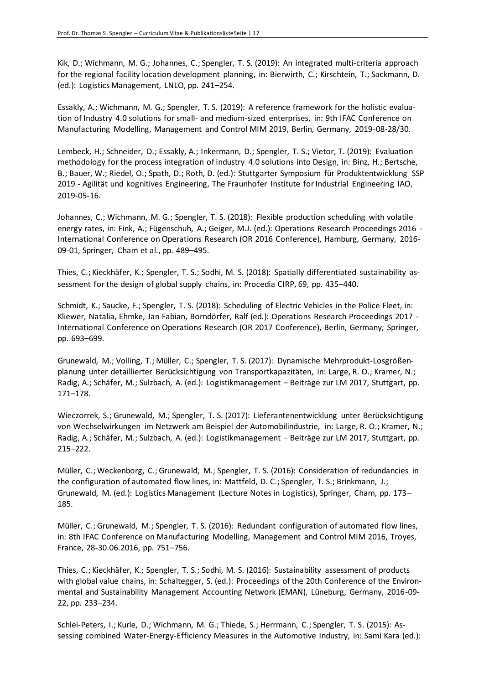Kik, D.; Wichmann, M. G.; Johannes, C.; Spengler, T. S. (2019): An integrated multi-criteria approach for the regional facility location development planning, in: Bierwirth, C.; Kirschtein, T.; Sackmann, D. (ed.): Logistics Management, LNLO, pp. 241–254.

Essakly, A.; Wichmann, M. G.; Spengler, T. S. (2019): A reference framework for the holistic evaluation of Industry 4.0 solutions for small- and medium-sized enterprises, in: 9th IFAC Conference on Manufacturing Modelling, Management and Control MIM 2019, Berlin, Germany, 2019-08-28/30.

Lembeck, H.; Schneider, D.; Essakly, A.; Inkermann, D.; Spengler, T. S.; Vietor, T. (2019): Evaluation methodology for the process integration of industry 4.0 solutions into Design, in: Binz, H.; Bertsche, B.; Bauer, W.; Riedel, O.; Spath, D.; Roth, D. (ed.): Stuttgarter Symposium für Produktentwicklung SSP 2019 - Agilität und kognitives Engineering, The Fraunhofer Institute for Industrial Engineering IAO, 2019-05-16.

Johannes, C.; Wichmann, M. G.; Spengler, T. S. (2018): Flexible production scheduling with volatile energy rates, in: Fink, A.; Fügenschuh, A.; Geiger, M.J. (ed.): Operations Research Proceedings 2016 - International Conference on Operations Research (OR 2016 Conference), Hamburg, Germany, 2016- 09-01, Springer, Cham et al., pp. 489–495.

Thies, C.; Kieckhäfer, K.; Spengler, T. S.; Sodhi, M. S. (2018): Spatially differentiated sustainability assessment for the design of global supply chains, in: Procedia CIRP, 69, pp. 435–440.

Schmidt, K.; Saucke, F.; Spengler, T. S. (2018): Scheduling of Electric Vehicles in the Police Fleet, in: Kliewer, Natalia, Ehmke, Jan Fabian, Borndörfer, Ralf (ed.): Operations Research Proceedings 2017 - International Conference on Operations Research (OR 2017 Conference), Berlin, Germany, Springer, pp. 693–699.

Grunewald, M.; Volling, T.; Müller, C.; Spengler, T. S. (2017): Dynamische Mehrprodukt-Losgrößenplanung unter detaillierter Berücksichtigung von Transportkapazitäten, in: Large, R. O.; Kramer, N.; Radig, A.; Schäfer, M.; Sulzbach, A. (ed.): Logistikmanagement − Beiträge zur LM 2017, Stuttgart, pp. 171–178.

Wieczorrek, S.; Grunewald, M.; Spengler, T. S. (2017): Lieferantenentwicklung unter Berücksichtigung von Wechselwirkungen im Netzwerk am Beispiel der Automobilindustrie, in: Large, R. O.; Kramer, N.; Radig, A.; Schäfer, M.; Sulzbach, A. (ed.): Logistikmanagement − Beiträge zur LM 2017, Stuttgart, pp. 215–222.

Müller, C.; Weckenborg, C.; Grunewald, M.; Spengler, T. S. (2016): Consideration of redundancies in the configuration of automated flow lines, in: Mattfeld, D. C.; Spengler, T. S.; Brinkmann, J.; Grunewald, M. (ed.): Logistics Management (Lecture Notes in Logistics), Springer, Cham, pp. 173– 185.

Müller, C.; Grunewald, M.; Spengler, T. S. (2016): Redundant configuration of automated flow lines, in: 8th IFAC Conference on Manufacturing Modelling, Management and Control MIM 2016, Troyes, France, 28-30.06.2016, pp. 751–756.

Thies, C.; Kieckhäfer, K.; Spengler, T. S.; Sodhi, M. S. (2016): Sustainability assessment of products with global value chains, in: Schaltegger, S. (ed.): Proceedings of the 20th Conference of the Environmental and Sustainability Management Accounting Network (EMAN), Lüneburg, Germany, 2016-09- 22, pp. 233–234.

Schlei-Peters, I.; Kurle, D.; Wichmann, M. G.; Thiede, S.; Herrmann, C.; Spengler, T. S. (2015): Assessing combined Water-Energy-Efficiency Measures in the Automotive Industry, in: Sami Kara (ed.):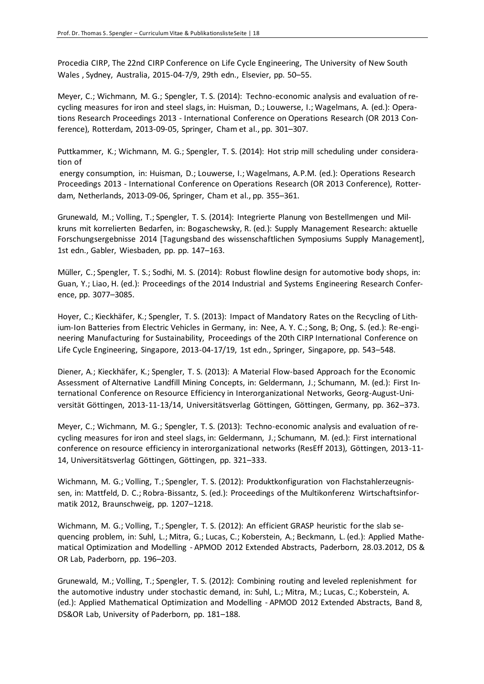Procedia CIRP, The 22nd CIRP Conference on Life Cycle Engineering, The University of New South Wales , Sydney, Australia, 2015-04-7/9, 29th edn., Elsevier, pp. 50–55.

Meyer, C.; Wichmann, M. G.; Spengler, T. S. (2014): Techno-economic analysis and evaluation of recycling measures for iron and steel slags, in: Huisman, D.; Louwerse, I.; Wagelmans, A. (ed.): Operations Research Proceedings 2013 - International Conference on Operations Research (OR 2013 Conference), Rotterdam, 2013-09-05, Springer, Cham et al., pp. 301–307.

Puttkammer, K.; Wichmann, M. G.; Spengler, T. S. (2014): Hot strip mill scheduling under consideration of

energy consumption, in: Huisman, D.; Louwerse, I.; Wagelmans, A.P.M. (ed.): Operations Research Proceedings 2013 - International Conference on Operations Research (OR 2013 Conference), Rotterdam, Netherlands, 2013-09-06, Springer, Cham et al., pp. 355–361.

Grunewald, M.; Volling, T.; Spengler, T. S. (2014): Integrierte Planung von Bestellmengen und Milkruns mit korrelierten Bedarfen, in: Bogaschewsky, R. (ed.): Supply Management Research: aktuelle Forschungsergebnisse 2014 [Tagungsband des wissenschaftlichen Symposiums Supply Management], 1st edn., Gabler, Wiesbaden, pp. pp. 147–163.

Müller, C.; Spengler, T. S.; Sodhi, M. S. (2014): Robust flowline design for automotive body shops, in: Guan, Y.; Liao, H. (ed.): Proceedings of the 2014 Industrial and Systems Engineering Research Conference, pp. 3077–3085.

Hoyer, C.; Kieckhäfer, K.; Spengler, T. S. (2013): Impact of Mandatory Rates on the Recycling of Lithium-Ion Batteries from Electric Vehicles in Germany, in: Nee, A. Y. C.; Song, B; Ong, S. (ed.): Re-engineering Manufacturing for Sustainability, Proceedings of the 20th CIRP International Conference on Life Cycle Engineering, Singapore, 2013-04-17/19, 1st edn., Springer, Singapore, pp. 543–548.

Diener, A.; Kieckhäfer, K.; Spengler, T. S. (2013): A Material Flow-based Approach for the Economic Assessment of Alternative Landfill Mining Concepts, in: Geldermann, J.; Schumann, M. (ed.): First International Conference on Resource Efficiency in Interorganizational Networks, Georg-August-Universität Göttingen, 2013-11-13/14, Universitätsverlag Göttingen, Göttingen, Germany, pp. 362–373.

Meyer, C.; Wichmann, M. G.; Spengler, T. S. (2013): Techno-economic analysis and evaluation of recycling measures for iron and steel slags, in: Geldermann, J.; Schumann, M. (ed.): First international conference on resource efficiency in interorganizational networks (ResEff 2013), Göttingen, 2013-11- 14, Universitätsverlag Göttingen, Göttingen, pp. 321–333.

Wichmann, M. G.; Volling, T.; Spengler, T. S. (2012): Produktkonfiguration von Flachstahlerzeugnissen, in: Mattfeld, D. C.; Robra-Bissantz, S. (ed.): Proceedings of the Multikonferenz Wirtschaftsinformatik 2012, Braunschweig, pp. 1207–1218.

Wichmann, M. G.; Volling, T.; Spengler, T. S. (2012): An efficient GRASP heuristic for the slab sequencing problem, in: Suhl, L.; Mitra, G.; Lucas, C.; Koberstein, A.; Beckmann, L. (ed.): Applied Mathematical Optimization and Modelling - APMOD 2012 Extended Abstracts, Paderborn, 28.03.2012, DS & OR Lab, Paderborn, pp. 196–203.

Grunewald, M.; Volling, T.; Spengler, T. S. (2012): Combining routing and leveled replenishment for the automotive industry under stochastic demand, in: Suhl, L.; Mitra, M.; Lucas, C.; Koberstein, A. (ed.): Applied Mathematical Optimization and Modelling - APMOD 2012 Extended Abstracts, Band 8, DS&OR Lab, University of Paderborn, pp. 181–188.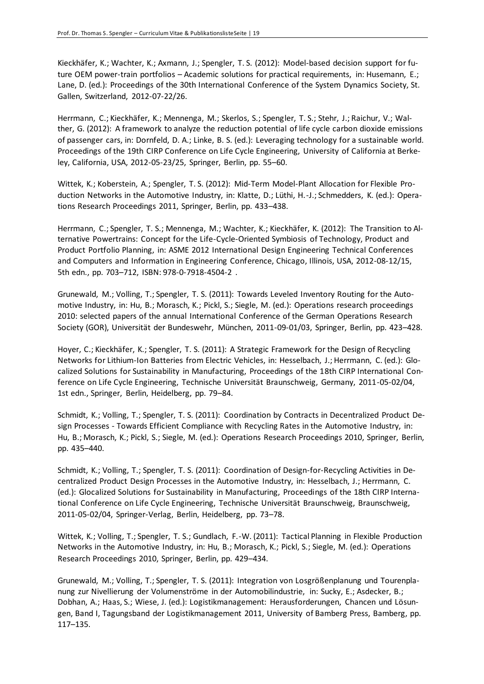Kieckhäfer, K.; Wachter, K.; Axmann, J.; Spengler, T. S. (2012): Model-based decision support for future OEM power-train portfolios – Academic solutions for practical requirements, in: Husemann, E.; Lane, D. (ed.): Proceedings of the 30th International Conference of the System Dynamics Society, St. Gallen, Switzerland, 2012-07-22/26.

Herrmann, C.; Kieckhäfer, K.; Mennenga, M.; Skerlos, S.; Spengler, T. S.; Stehr, J.; Raichur, V.; Walther, G. (2012): A framework to analyze the reduction potential of life cycle carbon dioxide emissions of passenger cars, in: Dornfeld, D. A.; Linke, B. S. (ed.): Leveraging technology for a sustainable world. Proceedings of the 19th CIRP Conference on Life Cycle Engineering, University of California at Berkeley, California, USA, 2012-05-23/25, Springer, Berlin, pp. 55–60.

Wittek, K.; Koberstein, A.; Spengler, T. S. (2012): Mid-Term Model-Plant Allocation for Flexible Production Networks in the Automotive Industry, in: Klatte, D.; Lüthi, H.-J.; Schmedders, K. (ed.): Operations Research Proceedings 2011, Springer, Berlin, pp. 433–438.

Herrmann, C.; Spengler, T. S.; Mennenga, M.; Wachter, K.; Kieckhäfer, K. (2012): The Transition to Alternative Powertrains: Concept for the Life-Cycle-Oriented Symbiosis of Technology, Product and Product Portfolio Planning, in: ASME 2012 International Design Engineering Technical Conferences and Computers and Information in Engineering Conference, Chicago, Illinois, USA, 2012-08-12/15, 5th edn., pp. 703–712, ISBN: 978-0-7918-4504-2 .

Grunewald, M.; Volling, T.; Spengler, T. S. (2011): Towards Leveled Inventory Routing for the Automotive Industry, in: Hu, B.; Morasch, K.; Pickl, S.; Siegle, M. (ed.): Operations research proceedings 2010: selected papers of the annual International Conference of the German Operations Research Society (GOR), Universität der Bundeswehr, München, 2011-09-01/03, Springer, Berlin, pp. 423–428.

Hoyer, C.; Kieckhäfer, K.; Spengler, T. S. (2011): A Strategic Framework for the Design of Recycling Networks for Lithium-Ion Batteries from Electric Vehicles, in: Hesselbach, J.; Herrmann, C. (ed.): Glocalized Solutions for Sustainability in Manufacturing, Proceedings of the 18th CIRP International Conference on Life Cycle Engineering, Technische Universität Braunschweig, Germany, 2011-05-02/04, 1st edn., Springer, Berlin, Heidelberg, pp. 79–84.

Schmidt, K.; Volling, T.; Spengler, T. S. (2011): Coordination by Contracts in Decentralized Product Design Processes - Towards Efficient Compliance with Recycling Rates in the Automotive Industry, in: Hu, B.; Morasch, K.; Pickl, S.; Siegle, M. (ed.): Operations Research Proceedings 2010, Springer, Berlin, pp. 435–440.

Schmidt, K.; Volling, T.; Spengler, T. S. (2011): Coordination of Design-for-Recycling Activities in Decentralized Product Design Processes in the Automotive Industry, in: Hesselbach, J.; Herrmann, C. (ed.): Glocalized Solutions for Sustainability in Manufacturing, Proceedings of the 18th CIRP International Conference on Life Cycle Engineering, Technische Universität Braunschweig, Braunschweig, 2011-05-02/04, Springer-Verlag, Berlin, Heidelberg, pp. 73–78.

Wittek, K.; Volling, T.; Spengler, T. S.; Gundlach, F.-W. (2011): Tactical Planning in Flexible Production Networks in the Automotive Industry, in: Hu, B.; Morasch, K.; Pickl, S.; Siegle, M. (ed.): Operations Research Proceedings 2010, Springer, Berlin, pp. 429–434.

Grunewald, M.; Volling, T.; Spengler, T. S. (2011): Integration von Losgrößenplanung und Tourenplanung zur Nivellierung der Volumenströme in der Automobilindustrie, in: Sucky, E.; Asdecker, B.; Dobhan, A.; Haas, S.; Wiese, J. (ed.): Logistikmanagement: Herausforderungen, Chancen und Lösungen, Band I, Tagungsband der Logistikmanagement 2011, University of Bamberg Press, Bamberg, pp. 117–135.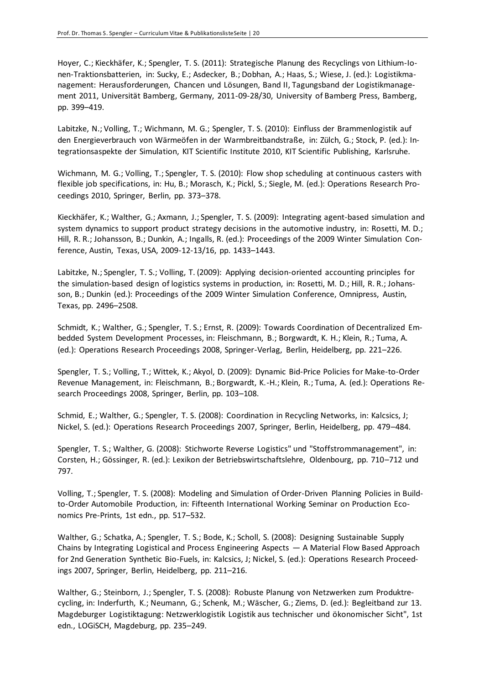Hoyer, C.; Kieckhäfer, K.; Spengler, T. S. (2011): Strategische Planung des Recyclings von Lithium-Ionen-Traktionsbatterien, in: Sucky, E.; Asdecker, B.; Dobhan, A.; Haas, S.; Wiese, J. (ed.): Logistikmanagement: Herausforderungen, Chancen und Lösungen, Band II, Tagungsband der Logistikmanagement 2011, Universität Bamberg, Germany, 2011-09-28/30, University of Bamberg Press, Bamberg, pp. 399–419.

Labitzke, N.; Volling, T.; Wichmann, M. G.; Spengler, T. S. (2010): Einfluss der Brammenlogistik auf den Energieverbrauch von Wärmeöfen in der Warmbreitbandstraße, in: Zülch, G.; Stock, P. (ed.): Integrationsaspekte der Simulation, KIT Scientific Institute 2010, KIT Scientific Publishing, Karlsruhe.

Wichmann, M. G.; Volling, T.; Spengler, T. S. (2010): Flow shop scheduling at continuous casters with flexible job specifications, in: Hu, B.; Morasch, K.; Pickl, S.; Siegle, M. (ed.): Operations Research Proceedings 2010, Springer, Berlin, pp. 373–378.

Kieckhäfer, K.; Walther, G.; Axmann, J.; Spengler, T. S. (2009): Integrating agent-based simulation and system dynamics to support product strategy decisions in the automotive industry, in: Rosetti, M. D.; Hill, R. R.; Johansson, B.; Dunkin, A.; Ingalls, R. (ed.): Proceedings of the 2009 Winter Simulation Conference, Austin, Texas, USA, 2009-12-13/16, pp. 1433–1443.

Labitzke, N.; Spengler, T. S.; Volling, T. (2009): Applying decision-oriented accounting principles for the simulation-based design of logistics systems in production, in: Rosetti, M. D.; Hill, R. R.; Johansson, B.; Dunkin (ed.): Proceedings of the 2009 Winter Simulation Conference, Omnipress, Austin, Texas, pp. 2496–2508.

Schmidt, K.; Walther, G.; Spengler, T. S.; Ernst, R. (2009): Towards Coordination of Decentralized Embedded System Development Processes, in: Fleischmann, B.; Borgwardt, K. H.; Klein, R.; Tuma, A. (ed.): Operations Research Proceedings 2008, Springer-Verlag, Berlin, Heidelberg, pp. 221–226.

Spengler, T. S.; Volling, T.; Wittek, K.; Akyol, D. (2009): Dynamic Bid-Price Policies for Make-to-Order Revenue Management, in: Fleischmann, B.; Borgwardt, K.-H.; Klein, R.; Tuma, A. (ed.): Operations Research Proceedings 2008, Springer, Berlin, pp. 103–108.

Schmid, E.; Walther, G.; Spengler, T. S. (2008): Coordination in Recycling Networks, in: Kalcsics, J; Nickel, S. (ed.): Operations Research Proceedings 2007, Springer, Berlin, Heidelberg, pp. 479–484.

Spengler, T. S.; Walther, G. (2008): Stichworte Reverse Logistics" und "Stoffstrommanagement", in: Corsten, H.; Gössinger, R. (ed.): Lexikon der Betriebswirtschaftslehre, Oldenbourg, pp. 710–712 und 797.

Volling, T.; Spengler, T. S. (2008): Modeling and Simulation of Order-Driven Planning Policies in Buildto-Order Automobile Production, in: Fifteenth International Working Seminar on Production Economics Pre-Prints, 1st edn., pp. 517–532.

Walther, G.; Schatka, A.; Spengler, T. S.; Bode, K.; Scholl, S. (2008): Designing Sustainable Supply Chains by Integrating Logistical and Process Engineering Aspects — A Material Flow Based Approach for 2nd Generation Synthetic Bio-Fuels, in: Kalcsics, J; Nickel, S. (ed.): Operations Research Proceedings 2007, Springer, Berlin, Heidelberg, pp. 211–216.

Walther, G.; Steinborn, J.; Spengler, T. S. (2008): Robuste Planung von Netzwerken zum Produktrecycling, in: Inderfurth, K.; Neumann, G.; Schenk, M.; Wäscher, G.; Ziems, D. (ed.): Begleitband zur 13. Magdeburger Logistiktagung: Netzwerklogistik Logistik aus technischer und ökonomischer Sicht", 1st edn., LOGiSCH, Magdeburg, pp. 235–249.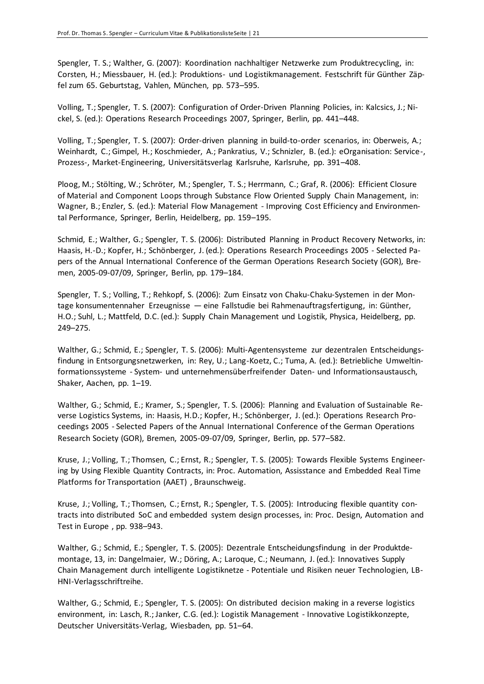Spengler, T. S.; Walther, G. (2007): Koordination nachhaltiger Netzwerke zum Produktrecycling, in: Corsten, H.; Miessbauer, H. (ed.): Produktions- und Logistikmanagement. Festschrift für Günther Zäpfel zum 65. Geburtstag, Vahlen, München, pp. 573–595.

Volling, T.; Spengler, T. S. (2007): Configuration of Order-Driven Planning Policies, in: Kalcsics, J.; Nickel, S. (ed.): Operations Research Proceedings 2007, Springer, Berlin, pp. 441–448.

Volling, T.; Spengler, T. S. (2007): Order-driven planning in build-to-order scenarios, in: Oberweis, A.; Weinhardt, C.; Gimpel, H.; Koschmieder, A.; Pankratius, V.; Schnizler, B. (ed.): eOrganisation: Service-, Prozess-, Market-Engineering, Universitätsverlag Karlsruhe, Karlsruhe, pp. 391–408.

Ploog, M.; Stölting, W.; Schröter, M.; Spengler, T. S.; Herrmann, C.; Graf, R. (2006): Efficient Closure of Material and Component Loops through Substance Flow Oriented Supply Chain Management, in: Wagner, B.; Enzler, S. (ed.): Material Flow Management - Improving Cost Efficiency and Environmental Performance, Springer, Berlin, Heidelberg, pp. 159–195.

Schmid, E.; Walther, G.; Spengler, T. S. (2006): Distributed Planning in Product Recovery Networks, in: Haasis, H.-D.; Kopfer, H.; Schönberger, J. (ed.): Operations Research Proceedings 2005 - Selected Papers of the Annual International Conference of the German Operations Research Society (GOR), Bremen, 2005-09-07/09, Springer, Berlin, pp. 179–184.

Spengler, T. S.; Volling, T.; Rehkopf, S. (2006): Zum Einsatz von Chaku-Chaku-Systemen in der Montage konsumentennaher Erzeugnisse — eine Fallstudie bei Rahmenauftragsfertigung, in: Günther, H.O.; Suhl, L.; Mattfeld, D.C. (ed.): Supply Chain Management und Logistik, Physica, Heidelberg, pp. 249–275.

Walther, G.; Schmid, E.; Spengler, T. S. (2006): Multi-Agentensysteme zur dezentralen Entscheidungsfindung in Entsorgungsnetzwerken, in: Rey, U.; Lang-Koetz, C.; Tuma, A. (ed.): Betriebliche Umweltinformationssysteme - System- und unternehmensüberfreifender Daten- und Informationsaustausch, Shaker, Aachen, pp. 1–19.

Walther, G.; Schmid, E.; Kramer, S.; Spengler, T. S. (2006): Planning and Evaluation of Sustainable Reverse Logistics Systems, in: Haasis, H.D.; Kopfer, H.; Schönberger, J. (ed.): Operations Research Proceedings 2005 - Selected Papers of the Annual International Conference of the German Operations Research Society (GOR), Bremen, 2005-09-07/09, Springer, Berlin, pp. 577–582.

Kruse, J.; Volling, T.; Thomsen, C.; Ernst, R.; Spengler, T. S. (2005): Towards Flexible Systems Engineering by Using Flexible Quantity Contracts, in: Proc. Automation, Assisstance and Embedded Real Time Platforms for Transportation (AAET) , Braunschweig.

Kruse, J.; Volling, T.; Thomsen, C.; Ernst, R.; Spengler, T. S. (2005): Introducing flexible quantity contracts into distributed SoC and embedded system design processes, in: Proc. Design, Automation and Test in Europe , pp. 938–943.

Walther, G.; Schmid, E.; Spengler, T. S. (2005): Dezentrale Entscheidungsfindung in der Produktdemontage, 13, in: Dangelmaier, W.; Döring, A.; Laroque, C.; Neumann, J. (ed.): Innovatives Supply Chain Management durch intelligente Logistiknetze - Potentiale und Risiken neuer Technologien, LB-HNI-Verlagsschriftreihe.

Walther, G.; Schmid, E.; Spengler, T. S. (2005): On distributed decision making in a reverse logistics environment, in: Lasch, R.; Janker, C.G. (ed.): Logistik Management - Innovative Logistikkonzepte, Deutscher Universitäts-Verlag, Wiesbaden, pp. 51–64.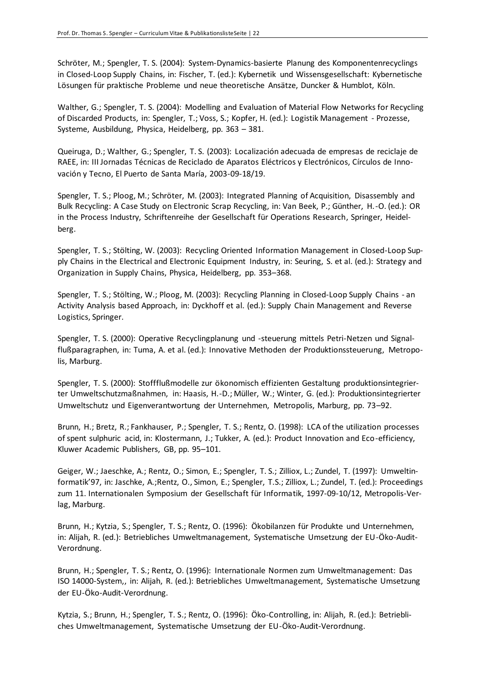Schröter, M.; Spengler, T. S. (2004): System-Dynamics-basierte Planung des Komponentenrecyclings in Closed-Loop Supply Chains, in: Fischer, T. (ed.): Kybernetik und Wissensgesellschaft: Kybernetische Lösungen für praktische Probleme und neue theoretische Ansätze, Duncker & Humblot, Köln.

Walther, G.; Spengler, T. S. (2004): Modelling and Evaluation of Material Flow Networks for Recycling of Discarded Products, in: Spengler, T.; Voss, S.; Kopfer, H. (ed.): Logistik Management - Prozesse, Systeme, Ausbildung, Physica, Heidelberg, pp. 363 – 381.

Queiruga, D.; Walther, G.; Spengler, T. S. (2003): Localización adecuada de empresas de reciclaje de RAEE, in: III Jornadas Técnicas de Reciclado de Aparatos Eléctricos y Electrónicos, Círculos de Innovación y Tecno, El Puerto de Santa María, 2003-09-18/19.

Spengler, T. S.; Ploog, M.; Schröter, M. (2003): Integrated Planning of Acquisition, Disassembly and Bulk Recycling: A Case Study on Electronic Scrap Recycling, in: Van Beek, P.; Günther, H.-O. (ed.): OR in the Process Industry, Schriftenreihe der Gesellschaft für Operations Research, Springer, Heidelberg.

Spengler, T. S.; Stölting, W. (2003): Recycling Oriented Information Management in Closed-Loop Supply Chains in the Electrical and Electronic Equipment Industry, in: Seuring, S. et al. (ed.): Strategy and Organization in Supply Chains, Physica, Heidelberg, pp. 353–368.

Spengler, T. S.; Stölting, W.; Ploog, M. (2003): Recycling Planning in Closed-Loop Supply Chains - an Activity Analysis based Approach, in: Dyckhoff et al. (ed.): Supply Chain Management and Reverse Logistics, Springer.

Spengler, T. S. (2000): Operative Recyclingplanung und -steuerung mittels Petri-Netzen und Signalflußparagraphen, in: Tuma, A. et al. (ed.): Innovative Methoden der Produktionssteuerung, Metropolis, Marburg.

Spengler, T. S. (2000): Stoffflußmodelle zur ökonomisch effizienten Gestaltung produktionsintegrierter Umweltschutzmaßnahmen, in: Haasis, H.-D.; Müller, W.; Winter, G. (ed.): Produktionsintegrierter Umweltschutz und Eigenverantwortung der Unternehmen, Metropolis, Marburg, pp. 73–92.

Brunn, H.; Bretz, R.; Fankhauser, P.; Spengler, T. S.; Rentz, O. (1998): LCA of the utilization processes of spent sulphuric acid, in: Klostermann, J.; Tukker, A. (ed.): Product Innovation and Eco-efficiency, Kluwer Academic Publishers, GB, pp. 95–101.

Geiger, W.; Jaeschke, A.; Rentz, O.; Simon, E.; Spengler, T. S.; Zilliox, L.; Zundel, T. (1997): Umweltinformatik'97, in: Jaschke, A.;Rentz, O., Simon, E.; Spengler, T.S.; Zilliox, L.; Zundel, T. (ed.): Proceedings zum 11. Internationalen Symposium der Gesellschaft für Informatik, 1997-09-10/12, Metropolis-Verlag, Marburg.

Brunn, H.; Kytzia, S.; Spengler, T. S.; Rentz, O. (1996): Ökobilanzen für Produkte und Unternehmen, in: Alijah, R. (ed.): Betriebliches Umweltmanagement, Systematische Umsetzung der EU-Öko-Audit-Verordnung.

Brunn, H.; Spengler, T. S.; Rentz, O. (1996): Internationale Normen zum Umweltmanagement: Das ISO 14000-System,, in: Alijah, R. (ed.): Betriebliches Umweltmanagement, Systematische Umsetzung der EU-Öko-Audit-Verordnung.

Kytzia, S.; Brunn, H.; Spengler, T. S.; Rentz, O. (1996): Öko-Controlling, in: Alijah, R. (ed.): Betriebliches Umweltmanagement, Systematische Umsetzung der EU-Öko-Audit-Verordnung.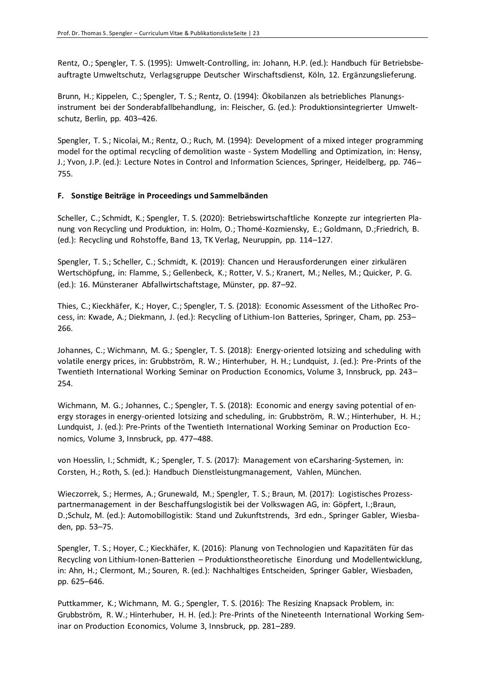Rentz, O.; Spengler, T. S. (1995): Umwelt-Controlling, in: Johann, H.P. (ed.): Handbuch für Betriebsbeauftragte Umweltschutz, Verlagsgruppe Deutscher Wirschaftsdienst, Köln, 12. Ergänzungslieferung.

Brunn, H.; Kippelen, C.; Spengler, T. S.; Rentz, O. (1994): Ökobilanzen als betriebliches Planungsinstrument bei der Sonderabfallbehandlung, in: Fleischer, G. (ed.): Produktionsintegrierter Umweltschutz, Berlin, pp. 403–426.

Spengler, T. S.; Nicolai, M.; Rentz, O.; Ruch, M. (1994): Development of a mixed integer programming model for the optimal recycling of demolition waste - System Modelling and Optimization, in: Hensy, J.; Yvon, J.P. (ed.): Lecture Notes in Control and Information Sciences, Springer, Heidelberg, pp. 746– 755.

## **F. Sonstige Beiträge in Proceedings und Sammelbänden**

Scheller, C.; Schmidt, K.; Spengler, T. S. (2020): Betriebswirtschaftliche Konzepte zur integrierten Planung von Recycling und Produktion, in: Holm, O.; Thomé-Kozmiensky, E.; Goldmann, D.;Friedrich, B. (ed.): Recycling und Rohstoffe, Band 13, TK Verlag, Neuruppin, pp. 114–127.

Spengler, T. S.; Scheller, C.; Schmidt, K. (2019): Chancen und Herausforderungen einer zirkulären Wertschöpfung, in: Flamme, S.; Gellenbeck, K.; Rotter, V. S.; Kranert, M.; Nelles, M.; Quicker, P. G. (ed.): 16. Münsteraner Abfallwirtschaftstage, Münster, pp. 87–92.

Thies, C.; Kieckhäfer, K.; Hoyer, C.; Spengler, T. S. (2018): Economic Assessment of the LithoRec Process, in: Kwade, A.; Diekmann, J. (ed.): Recycling of Lithium-Ion Batteries, Springer, Cham, pp. 253– 266.

Johannes, C.; Wichmann, M. G.; Spengler, T. S. (2018): Energy-oriented lotsizing and scheduling with volatile energy prices, in: Grubbström, R. W.; Hinterhuber, H. H.; Lundquist, J. (ed.): Pre-Prints of the Twentieth International Working Seminar on Production Economics, Volume 3, Innsbruck, pp. 243– 254.

Wichmann, M. G.; Johannes, C.; Spengler, T. S. (2018): Economic and energy saving potential of energy storages in energy-oriented lotsizing and scheduling, in: Grubbström, R. W.; Hinterhuber, H. H.; Lundquist, J. (ed.): Pre-Prints of the Twentieth International Working Seminar on Production Economics, Volume 3, Innsbruck, pp. 477–488.

von Hoesslin, I.; Schmidt, K.; Spengler, T. S. (2017): Management von eCarsharing-Systemen, in: Corsten, H.; Roth, S. (ed.): Handbuch Dienstleistungmanagement, Vahlen, München.

Wieczorrek, S.; Hermes, A.; Grunewald, M.; Spengler, T. S.; Braun, M. (2017): Logistisches Prozesspartnermanagement in der Beschaffungslogistik bei der Volkswagen AG, in: Göpfert, I.;Braun, D.;Schulz, M. (ed.): Automobillogistik: Stand und Zukunftstrends, 3rd edn., Springer Gabler, Wiesbaden, pp. 53–75.

Spengler, T. S.; Hoyer, C.; Kieckhäfer, K. (2016): Planung von Technologien und Kapazitäten für das Recycling von Lithium-Ionen-Batterien – Produktionstheoretische Einordung und Modellentwicklung, in: Ahn, H.; Clermont, M.; Souren, R. (ed.): Nachhaltiges Entscheiden, Springer Gabler, Wiesbaden, pp. 625–646.

Puttkammer, K.; Wichmann, M. G.; Spengler, T. S. (2016): The Resizing Knapsack Problem, in: Grubbström, R. W.; Hinterhuber, H. H. (ed.): Pre-Prints of the Nineteenth International Working Seminar on Production Economics, Volume 3, Innsbruck, pp. 281–289.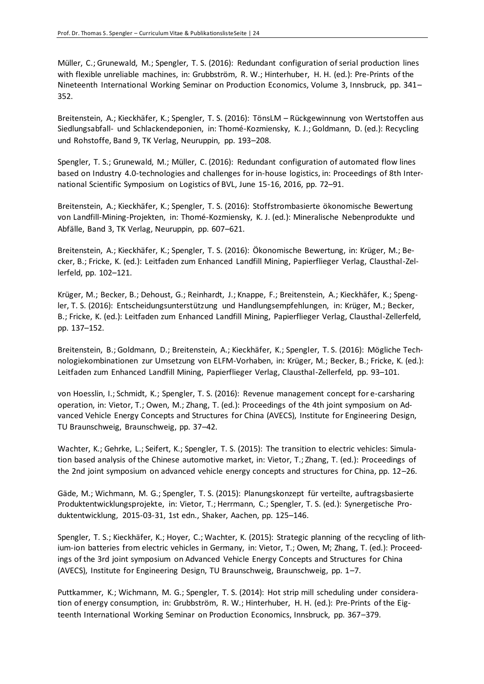Müller, C.; Grunewald, M.; Spengler, T. S. (2016): Redundant configuration of serial production lines with flexible unreliable machines, in: Grubbström, R. W.; Hinterhuber, H. H. (ed.): Pre-Prints of the Nineteenth International Working Seminar on Production Economics, Volume 3, Innsbruck, pp. 341– 352.

Breitenstein, A.; Kieckhäfer, K.; Spengler, T. S. (2016): TönsLM – Rückgewinnung von Wertstoffen aus Siedlungsabfall- und Schlackendeponien, in: Thomé-Kozmiensky, K. J.; Goldmann, D. (ed.): Recycling und Rohstoffe, Band 9, TK Verlag, Neuruppin, pp. 193–208.

Spengler, T. S.; Grunewald, M.; Müller, C. (2016): Redundant configuration of automated flow lines based on Industry 4.0-technologies and challenges for in-house logistics, in: Proceedings of 8th International Scientific Symposium on Logistics of BVL, June 15-16, 2016, pp. 72–91.

Breitenstein, A.; Kieckhäfer, K.; Spengler, T. S. (2016): Stoffstrombasierte ökonomische Bewertung von Landfill-Mining-Projekten, in: Thomé-Kozmiensky, K. J. (ed.): Mineralische Nebenprodukte und Abfälle, Band 3, TK Verlag, Neuruppin, pp. 607–621.

Breitenstein, A.; Kieckhäfer, K.; Spengler, T. S. (2016): Ökonomische Bewertung, in: Krüger, M.; Becker, B.; Fricke, K. (ed.): Leitfaden zum Enhanced Landfill Mining, Papierflieger Verlag, Clausthal-Zellerfeld, pp. 102–121.

Krüger, M.; Becker, B.; Dehoust, G.; Reinhardt, J.; Knappe, F.; Breitenstein, A.; Kieckhäfer, K.; Spengler, T. S. (2016): Entscheidungsunterstützung und Handlungsempfehlungen, in: Krüger, M.; Becker, B.; Fricke, K. (ed.): Leitfaden zum Enhanced Landfill Mining, Papierflieger Verlag, Clausthal-Zellerfeld, pp. 137–152.

Breitenstein, B.; Goldmann, D.; Breitenstein, A.; Kieckhäfer, K.; Spengler, T. S. (2016): Mögliche Technologiekombinationen zur Umsetzung von ELFM-Vorhaben, in: Krüger, M.; Becker, B.; Fricke, K. (ed.): Leitfaden zum Enhanced Landfill Mining, Papierflieger Verlag, Clausthal-Zellerfeld, pp. 93–101.

von Hoesslin, I.; Schmidt, K.; Spengler, T. S. (2016): Revenue management concept for e-carsharing operation, in: Vietor, T.; Owen, M.; Zhang, T. (ed.): Proceedings of the 4th joint symposium on Advanced Vehicle Energy Concepts and Structures for China (AVECS), Institute for Engineering Design, TU Braunschweig, Braunschweig, pp. 37–42.

Wachter, K.; Gehrke, L.; Seifert, K.; Spengler, T. S. (2015): The transition to electric vehicles: Simulation based analysis of the Chinese automotive market, in: Vietor, T.; Zhang, T. (ed.): Proceedings of the 2nd joint symposium on advanced vehicle energy concepts and structures for China, pp. 12–26.

Gäde, M.; Wichmann, M. G.; Spengler, T. S. (2015): Planungskonzept für verteilte, auftragsbasierte Produktentwicklungsprojekte, in: Vietor, T.; Herrmann, C.; Spengler, T. S. (ed.): Synergetische Produktentwicklung, 2015-03-31, 1st edn., Shaker, Aachen, pp. 125–146.

Spengler, T. S.; Kieckhäfer, K.; Hoyer, C.; Wachter, K. (2015): Strategic planning of the recycling of lithium-ion batteries from electric vehicles in Germany, in: Vietor, T.; Owen, M; Zhang, T. (ed.): Proceedings of the 3rd joint symposium on Advanced Vehicle Energy Concepts and Structures for China (AVECS), Institute for Engineering Design, TU Braunschweig, Braunschweig, pp. 1–7.

Puttkammer, K.; Wichmann, M. G.; Spengler, T. S. (2014): Hot strip mill scheduling under consideration of energy consumption, in: Grubbström, R. W.; Hinterhuber, H. H. (ed.): Pre-Prints of the Eigteenth International Working Seminar on Production Economics, Innsbruck, pp. 367–379.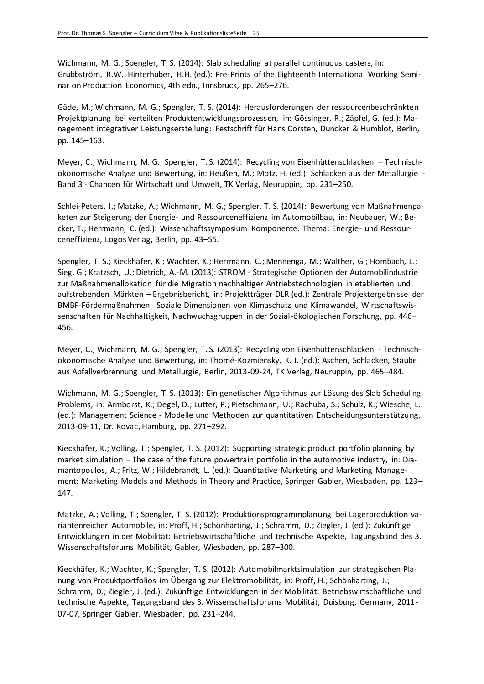Wichmann, M. G.; Spengler, T. S. (2014): Slab scheduling at parallel continuous casters, in: Grubbström, R.W.; Hinterhuber, H.H. (ed.): Pre-Prints of the Eighteenth International Working Seminar on Production Economics, 4th edn., Innsbruck, pp. 265–276.

Gäde, M.; Wichmann, M. G.; Spengler, T. S. (2014): Herausforderungen der ressourcenbeschränkten Projektplanung bei verteilten Produktentwicklungsprozessen, in: Gössinger, R.; Zäpfel, G. (ed.): Management integrativer Leistungserstellung: Festschrift für Hans Corsten, Duncker & Humblot, Berlin, pp. 145–163.

Meyer, C.; Wichmann, M. G.; Spengler, T. S. (2014): Recycling von Eisenhüttenschlacken – Technischökonomische Analyse und Bewertung, in: Heußen, M.; Motz, H. (ed.): Schlacken aus der Metallurgie - Band 3 - Chancen für Wirtschaft und Umwelt, TK Verlag, Neuruppin, pp. 231–250.

Schlei-Peters, I.; Matzke, A.; Wichmann, M. G.; Spengler, T. S. (2014): Bewertung von Maßnahmenpaketen zur Steigerung der Energie- und Ressourceneffizienz im Automobilbau, in: Neubauer, W.; Becker, T.; Herrmann, C. (ed.): Wissenchaftssymposium Komponente. Thema: Energie- und Ressourceneffizienz, Logos Verlag, Berlin, pp. 43–55.

Spengler, T. S.; Kieckhäfer, K.; Wachter, K.; Herrmann, C.; Mennenga, M.; Walther, G.; Hombach, L.; Sieg, G.; Kratzsch, U.; Dietrich, A.-M. (2013): STROM - Strategische Optionen der Automobilindustrie zur Maßnahmenallokation für die Migration nachhaltiger Antriebstechnologien in etablierten und aufstrebenden Märkten – Ergebnisbericht, in: Projektträger DLR (ed.): Zentrale Projektergebnisse der BMBF-Fördermaßnahmen: Soziale Dimensionen von Klimaschutz und Klimawandel, Wirtschaftswissenschaften für Nachhaltigkeit, Nachwuchsgruppen in der Sozial-ökologischen Forschung, pp. 446– 456.

Meyer, C.; Wichmann, M. G.; Spengler, T. S. (2013): Recycling von Eisenhüttenschlacken - Technischökonomische Analyse und Bewertung, in: Thomé-Kozmiensky, K. J. (ed.): Aschen, Schlacken, Stäube aus Abfallverbrennung und Metallurgie, Berlin, 2013-09-24, TK Verlag, Neuruppin, pp. 465–484.

Wichmann, M. G.; Spengler, T. S. (2013): Ein genetischer Algorithmus zur Lösung des Slab Scheduling Problems, in: Armborst, K.; Degel, D.; Lutter, P.; Pietschmann, U.; Rachuba, S.; Schulz, K.; Wiesche, L. (ed.): Management Science - Modelle und Methoden zur quantitativen Entscheidungsunterstützung, 2013-09-11, Dr. Kovac, Hamburg, pp. 271–292.

Kieckhäfer, K.; Volling, T.; Spengler, T. S. (2012): Supporting strategic product portfolio planning by market simulation – The case of the future powertrain portfolio in the automotive industry, in: Diamantopoulos, A.; Fritz, W.; Hildebrandt, L. (ed.): Quantitative Marketing and Marketing Management: Marketing Models and Methods in Theory and Practice, Springer Gabler, Wiesbaden, pp. 123– 147.

Matzke, A.; Volling, T.; Spengler, T. S. (2012): Produktionsprogrammplanung bei Lagerproduktion variantenreicher Automobile, in: Proff, H.; Schönharting, J.; Schramm, D.; Ziegler, J. (ed.): Zukünftige Entwicklungen in der Mobilität: Betriebswirtschaftliche und technische Aspekte, Tagungsband des 3. Wissenschaftsforums Mobilität, Gabler, Wiesbaden, pp. 287–300.

Kieckhäfer, K.; Wachter, K.; Spengler, T. S. (2012): Automobilmarktsimulation zur strategischen Planung von Produktportfolios im Übergang zur Elektromobilität, in: Proff, H.; Schönharting, J.; Schramm, D.; Ziegler, J. (ed.): Zukünftige Entwicklungen in der Mobilität: Betriebswirtschaftliche und technische Aspekte, Tagungsband des 3. Wissenschaftsforums Mobilität, Duisburg, Germany, 2011- 07-07, Springer Gabler, Wiesbaden, pp. 231–244.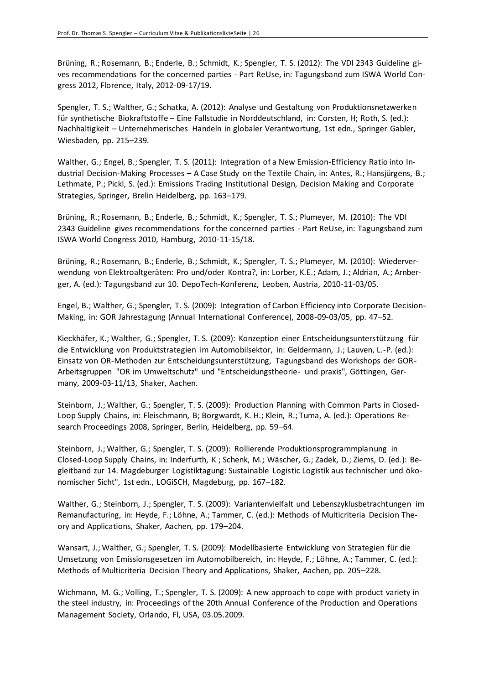Brüning, R.; Rosemann, B.; Enderle, B.; Schmidt, K.; Spengler, T. S. (2012): The VDI 2343 Guideline gives recommendations for the concerned parties - Part ReUse, in: Tagungsband zum ISWA World Congress 2012, Florence, Italy, 2012-09-17/19.

Spengler, T. S.; Walther, G.; Schatka, A. (2012): Analyse und Gestaltung von Produktionsnetzwerken für synthetische Biokraftstoffe – Eine Fallstudie in Norddeutschland, in: Corsten, H; Roth, S. (ed.): Nachhaltigkeit – Unternehmerisches Handeln in globaler Verantwortung, 1st edn., Springer Gabler, Wiesbaden, pp. 215–239.

Walther, G.; Engel, B.; Spengler, T. S. (2011): Integration of a New Emission-Efficiency Ratio into Industrial Decision-Making Processes – A Case Study on the Textile Chain, in: Antes, R.; Hansjürgens, B.; Lethmate, P.; Pickl, S. (ed.): Emissions Trading Institutional Design, Decision Making and Corporate Strategies, Springer, Brelin Heidelberg, pp. 163–179.

Brüning, R.; Rosemann, B.; Enderle, B.; Schmidt, K.; Spengler, T. S.; Plumeyer, M. (2010): The VDI 2343 Guideline gives recommendations for the concerned parties - Part ReUse, in: Tagungsband zum ISWA World Congress 2010, Hamburg, 2010-11-15/18.

Brüning, R.; Rosemann, B.; Enderle, B.; Schmidt, K.; Spengler, T. S.; Plumeyer, M. (2010): Wiederverwendung von Elektroaltgeräten: Pro und/oder Kontra?, in: Lorber, K.E.; Adam, J.; Aldrian, A.; Arnberger, A. (ed.): Tagungsband zur 10. DepoTech-Konferenz, Leoben, Austria, 2010-11-03/05.

Engel, B.; Walther, G.; Spengler, T. S. (2009): Integration of Carbon Efficiency into Corporate Decision-Making, in: GOR Jahrestagung (Annual International Conference), 2008-09-03/05, pp. 47–52.

Kieckhäfer, K.; Walther, G.; Spengler, T. S. (2009): Konzeption einer Entscheidungsunterstützung für die Entwicklung von Produktstrategien im Automobilsektor, in: Geldermann, J.; Lauven, L.-P. (ed.): Einsatz von OR-Methoden zur Entscheidungsunterstützung, Tagungsband des Workshops der GOR-Arbeitsgruppen "OR im Umweltschutz" und "Entscheidungstheorie- und praxis", Göttingen, Germany, 2009-03-11/13, Shaker, Aachen.

Steinborn, J.; Walther, G.; Spengler, T. S. (2009): Production Planning with Common Parts in Closed-Loop Supply Chains, in: Fleischmann, B; Borgwardt, K. H.; Klein, R.; Tuma, A. (ed.): Operations Research Proceedings 2008, Springer, Berlin, Heidelberg, pp. 59–64.

Steinborn, J.; Walther, G.; Spengler, T. S. (2009): Rollierende Produktionsprogrammplanung in Closed-Loop Supply Chains, in: Inderfurth, K ; Schenk, M.; Wäscher, G.; Zadek, D.; Ziems, D. (ed.): Begleitband zur 14. Magdeburger Logistiktagung: Sustainable Logistic Logistik aus technischer und ökonomischer Sicht", 1st edn., LOGiSCH, Magdeburg, pp. 167–182.

Walther, G.; Steinborn, J.; Spengler, T. S. (2009): Variantenvielfalt und Lebenszyklusbetrachtungen im Remanufacturing, in: Heyde, F.; Löhne, A.; Tammer, C. (ed.): Methods of Multicriteria Decision Theory and Applications, Shaker, Aachen, pp. 179–204.

Wansart, J.; Walther, G.; Spengler, T. S. (2009): Modellbasierte Entwicklung von Strategien für die Umsetzung von Emissionsgesetzen im Automobilbereich, in: Heyde, F.; Löhne, A.; Tammer, C. (ed.): Methods of Multicriteria Decision Theory and Applications, Shaker, Aachen, pp. 205–228.

Wichmann, M. G.; Volling, T.; Spengler, T. S. (2009): A new approach to cope with product variety in the steel industry, in: Proceedings of the 20th Annual Conference of the Production and Operations Management Society, Orlando, Fl, USA, 03.05.2009.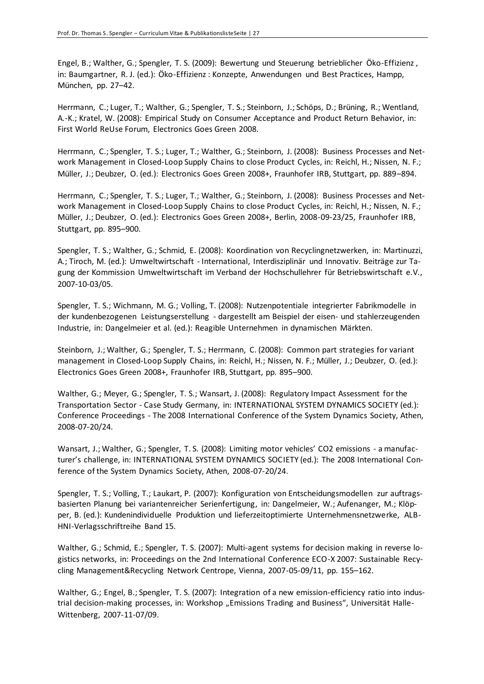Engel, B.; Walther, G.; Spengler, T. S. (2009): Bewertung und Steuerung betrieblicher Öko-Effizienz , in: Baumgartner, R. J. (ed.): Öko-Effizienz : Konzepte, Anwendungen und Best Practices, Hampp, München, pp. 27–42.

Herrmann, C.; Luger, T.; Walther, G.; Spengler, T. S.; Steinborn, J.; Schöps, D.; Brüning, R.; Wentland, A.-K.; Kratel, W. (2008): Empirical Study on Consumer Acceptance and Product Return Behavior, in: First World ReUse Forum, Electronics Goes Green 2008.

Herrmann, C.; Spengler, T. S.; Luger, T.; Walther, G.; Steinborn, J. (2008): Business Processes and Network Management in Closed-Loop Supply Chains to close Product Cycles, in: Reichl, H.; Nissen, N. F.; Müller, J.; Deubzer, O. (ed.): Electronics Goes Green 2008+, Fraunhofer IRB, Stuttgart, pp. 889–894.

Herrmann, C.; Spengler, T. S.; Luger, T.; Walther, G.; Steinborn, J. (2008): Business Processes and Network Management in Closed-Loop Supply Chains to close Product Cycles, in: Reichl, H.; Nissen, N. F.; Müller, J.; Deubzer, O. (ed.): Electronics Goes Green 2008+, Berlin, 2008-09-23/25, Fraunhofer IRB, Stuttgart, pp. 895–900.

Spengler, T. S.; Walther, G.; Schmid, E. (2008): Koordination von Recyclingnetzwerken, in: Martinuzzi, A.; Tiroch, M. (ed.): Umweltwirtschaft - International, Interdisziplinär und Innovativ. Beiträge zur Tagung der Kommission Umweltwirtschaft im Verband der Hochschullehrer für Betriebswirtschaft e.V., 2007-10-03/05.

Spengler, T. S.; Wichmann, M. G.; Volling, T. (2008): Nutzenpotentiale integrierter Fabrikmodelle in der kundenbezogenen Leistungserstellung - dargestellt am Beispiel der eisen- und stahlerzeugenden Industrie, in: Dangelmeier et al. (ed.): Reagible Unternehmen in dynamischen Märkten.

Steinborn, J.; Walther, G.; Spengler, T. S.; Herrmann, C. (2008): Common part strategies for variant management in Closed-Loop Supply Chains, in: Reichl, H.; Nissen, N. F.; Müller, J.; Deubzer, O. (ed.): Electronics Goes Green 2008+, Fraunhofer IRB, Stuttgart, pp. 895–900.

Walther, G.; Meyer, G.; Spengler, T. S.; Wansart, J. (2008): Regulatory Impact Assessment for the Transportation Sector - Case Study Germany, in: INTERNATIONAL SYSTEM DYNAMICS SOCIETY (ed.): Conference Proceedings - The 2008 International Conference of the System Dynamics Society, Athen, 2008-07-20/24.

Wansart, J.; Walther, G.; Spengler, T. S. (2008): Limiting motor vehicles' CO2 emissions - a manufacturer's challenge, in: INTERNATIONAL SYSTEM DYNAMICS SOCIETY (ed.): The 2008 International Conference of the System Dynamics Society, Athen, 2008-07-20/24.

Spengler, T. S.; Volling, T.; Laukart, P. (2007): Konfiguration von Entscheidungsmodellen zur auftragsbasierten Planung bei variantenreicher Serienfertigung, in: Dangelmeier, W.; Aufenanger, M.; Klöpper, B. (ed.): Kundenindividuelle Produktion und lieferzeitoptimierte Unternehmensnetzwerke, ALB-HNI-Verlagsschriftreihe Band 15.

Walther, G.; Schmid, E.; Spengler, T. S. (2007): Multi-agent systems for decision making in reverse logistics networks, in: Proceedings on the 2nd International Conference ECO-X 2007: Sustainable Recycling Management&Recycling Network Centrope, Vienna, 2007-05-09/11, pp. 155–162.

Walther, G.; Engel, B.; Spengler, T. S. (2007): Integration of a new emission-efficiency ratio into industrial decision-making processes, in: Workshop "Emissions Trading and Business", Universität Halle-Wittenberg, 2007-11-07/09.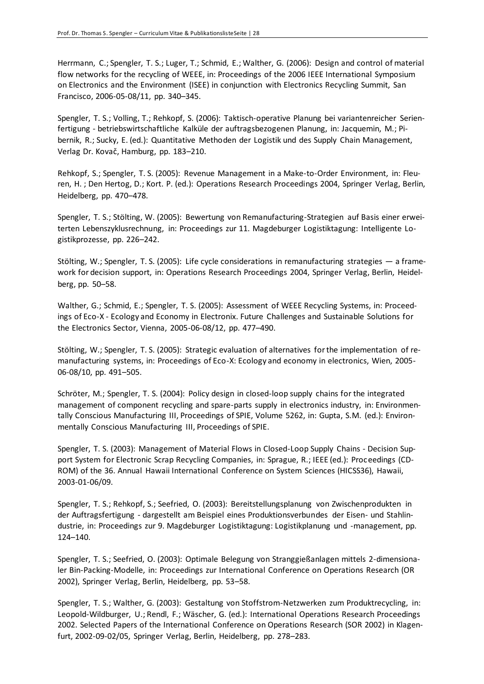Herrmann, C.; Spengler, T. S.; Luger, T.; Schmid, E.; Walther, G. (2006): Design and control of material flow networks for the recycling of WEEE, in: Proceedings of the 2006 IEEE International Symposium on Electronics and the Environment (ISEE) in conjunction with Electronics Recycling Summit, San Francisco, 2006-05-08/11, pp. 340–345.

Spengler, T. S.; Volling, T.; Rehkopf, S. (2006): Taktisch-operative Planung bei variantenreicher Serienfertigung - betriebswirtschaftliche Kalküle der auftragsbezogenen Planung, in: Jacquemin, M.; Pibernik, R.; Sucky, E. (ed.): Quantitative Methoden der Logistik und des Supply Chain Management, Verlag Dr. Kovač, Hamburg, pp. 183–210.

Rehkopf, S.; Spengler, T. S. (2005): Revenue Management in a Make-to-Order Environment, in: Fleuren, H. ; Den Hertog, D.; Kort. P. (ed.): Operations Research Proceedings 2004, Springer Verlag, Berlin, Heidelberg, pp. 470–478.

Spengler, T. S.; Stölting, W. (2005): Bewertung von Remanufacturing-Strategien auf Basis einer erweiterten Lebenszyklusrechnung, in: Proceedings zur 11. Magdeburger Logistiktagung: Intelligente Logistikprozesse, pp. 226–242.

Stölting, W.; Spengler, T. S. (2005): Life cycle considerations in remanufacturing strategies — a framework for decision support, in: Operations Research Proceedings 2004, Springer Verlag, Berlin, Heidelberg, pp. 50–58.

Walther, G.; Schmid, E.; Spengler, T. S. (2005): Assessment of WEEE Recycling Systems, in: Proceedings of Eco-X - Ecology and Economy in Electronix. Future Challenges and Sustainable Solutions for the Electronics Sector, Vienna, 2005-06-08/12, pp. 477–490.

Stölting, W.; Spengler, T. S. (2005): Strategic evaluation of alternatives for the implementation of remanufacturing systems, in: Proceedings of Eco-X: Ecology and economy in electronics, Wien, 2005- 06-08/10, pp. 491–505.

Schröter, M.; Spengler, T. S. (2004): Policy design in closed-loop supply chains for the integrated management of component recycling and spare-parts supply in electronics industry, in: Environmentally Conscious Manufacturing III, Proceedings of SPIE, Volume 5262, in: Gupta, S.M. (ed.): Environmentally Conscious Manufacturing III, Proceedings of SPIE.

Spengler, T. S. (2003): Management of Material Flows in Closed-Loop Supply Chains - Decision Support System for Electronic Scrap Recycling Companies, in: Sprague, R.; IEEE (ed.): Proceedings (CD-ROM) of the 36. Annual Hawaii International Conference on System Sciences (HICSS36), Hawaii, 2003-01-06/09.

Spengler, T. S.; Rehkopf, S.; Seefried, O. (2003): Bereitstellungsplanung von Zwischenprodukten in der Auftragsfertigung - dargestellt am Beispiel eines Produktionsverbundes der Eisen- und Stahlindustrie, in: Proceedings zur 9. Magdeburger Logistiktagung: Logistikplanung und -management, pp. 124–140.

Spengler, T. S.; Seefried, O. (2003): Optimale Belegung von Stranggießanlagen mittels 2-dimensionaler Bin-Packing-Modelle, in: Proceedings zur International Conference on Operations Research (OR 2002), Springer Verlag, Berlin, Heidelberg, pp. 53–58.

Spengler, T. S.; Walther, G. (2003): Gestaltung von Stoffstrom-Netzwerken zum Produktrecycling, in: Leopold-Wildburger, U.; Rendl, F.; Wäscher, G. (ed.): International Operations Research Proceedings 2002. Selected Papers of the International Conference on Operations Research (SOR 2002) in Klagenfurt, 2002-09-02/05, Springer Verlag, Berlin, Heidelberg, pp. 278–283.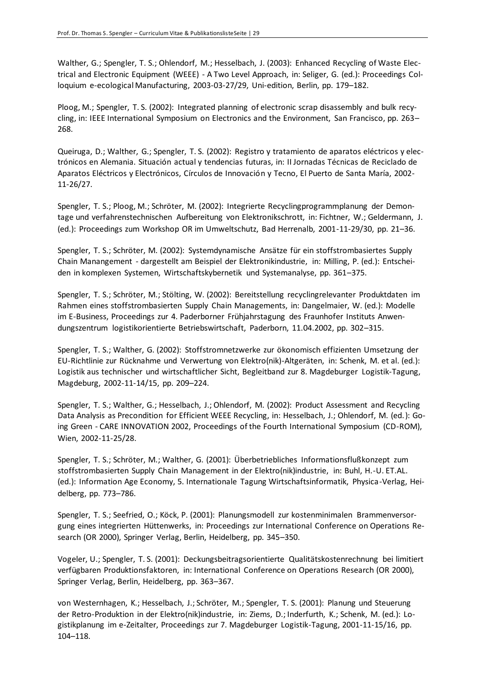Walther, G.; Spengler, T. S.; Ohlendorf, M.; Hesselbach, J. (2003): Enhanced Recycling of Waste Electrical and Electronic Equipment (WEEE) - A Two Level Approach, in: Seliger, G. (ed.): Proceedings Colloquium e-ecological Manufacturing, 2003-03-27/29, Uni-edition, Berlin, pp. 179–182.

Ploog, M.; Spengler, T. S. (2002): Integrated planning of electronic scrap disassembly and bulk recycling, in: IEEE International Symposium on Electronics and the Environment, San Francisco, pp. 263– 268.

Queiruga, D.; Walther, G.; Spengler, T. S. (2002): Registro y tratamiento de aparatos eléctricos y electrónicos en Alemania. Situación actual y tendencias futuras, in: II Jornadas Técnicas de Reciclado de Aparatos Eléctricos y Electrónicos, Círculos de Innovación y Tecno, El Puerto de Santa María, 2002- 11-26/27.

Spengler, T. S.; Ploog, M.; Schröter, M. (2002): Integrierte Recyclingprogrammplanung der Demontage und verfahrenstechnischen Aufbereitung von Elektronikschrott, in: Fichtner, W.; Geldermann, J. (ed.): Proceedings zum Workshop OR im Umweltschutz, Bad Herrenalb, 2001-11-29/30, pp. 21–36.

Spengler, T. S.; Schröter, M. (2002): Systemdynamische Ansätze für ein stoffstrombasiertes Supply Chain Manangement - dargestellt am Beispiel der Elektronikindustrie, in: Milling, P. (ed.): Entscheiden in komplexen Systemen, Wirtschaftskybernetik und Systemanalyse, pp. 361–375.

Spengler, T. S.; Schröter, M.; Stölting, W. (2002): Bereitstellung recyclingrelevanter Produktdaten im Rahmen eines stoffstrombasierten Supply Chain Managements, in: Dangelmaier, W. (ed.): Modelle im E-Business, Proceedings zur 4. Paderborner Frühjahrstagung des Fraunhofer Instituts Anwendungszentrum logistikorientierte Betriebswirtschaft, Paderborn, 11.04.2002, pp. 302–315.

Spengler, T. S.; Walther, G. (2002): Stoffstromnetzwerke zur ökonomisch effizienten Umsetzung der EU-Richtlinie zur Rücknahme und Verwertung von Elektro(nik)-Altgeräten, in: Schenk, M. et al. (ed.): Logistik aus technischer und wirtschaftlicher Sicht, Begleitband zur 8. Magdeburger Logistik-Tagung, Magdeburg, 2002-11-14/15, pp. 209–224.

Spengler, T. S.; Walther, G.; Hesselbach, J.; Ohlendorf, M. (2002): Product Assessment and Recycling Data Analysis as Precondition for Efficient WEEE Recycling, in: Hesselbach, J.; Ohlendorf, M. (ed.): Going Green - CARE INNOVATION 2002, Proceedings of the Fourth International Symposium (CD-ROM), Wien, 2002-11-25/28.

Spengler, T. S.; Schröter, M.; Walther, G. (2001): Überbetriebliches Informationsflußkonzept zum stoffstrombasierten Supply Chain Management in der Elektro(nik)industrie, in: Buhl, H.-U. ET.AL. (ed.): Information Age Economy, 5. Internationale Tagung Wirtschaftsinformatik, Physica-Verlag, Heidelberg, pp. 773–786.

Spengler, T. S.; Seefried, O.; Köck, P. (2001): Planungsmodell zur kostenminimalen Brammenversorgung eines integrierten Hüttenwerks, in: Proceedings zur International Conference on Operations Research (OR 2000), Springer Verlag, Berlin, Heidelberg, pp. 345–350.

Vogeler, U.; Spengler, T. S. (2001): Deckungsbeitragsorientierte Qualitätskostenrechnung bei limitiert verfügbaren Produktionsfaktoren, in: International Conference on Operations Research (OR 2000), Springer Verlag, Berlin, Heidelberg, pp. 363–367.

von Westernhagen, K.; Hesselbach, J.; Schröter, M.; Spengler, T. S. (2001): Planung und Steuerung der Retro-Produktion in der Elektro(nik)industrie, in: Ziems, D.; Inderfurth, K.; Schenk, M. (ed.): Logistikplanung im e-Zeitalter, Proceedings zur 7. Magdeburger Logistik-Tagung, 2001-11-15/16, pp. 104–118.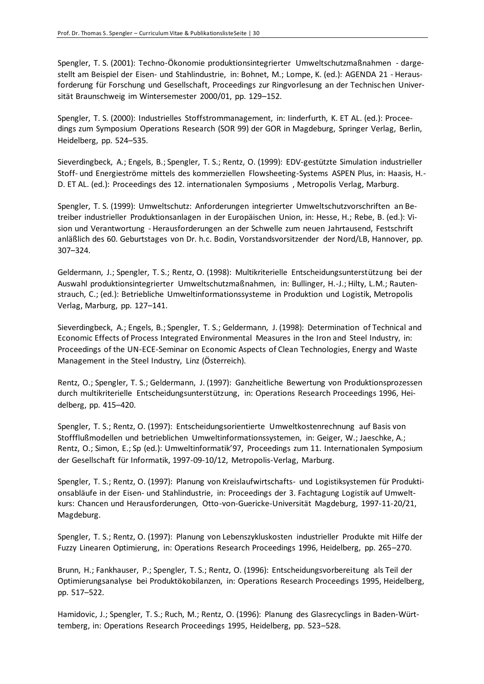Spengler, T. S. (2001): Techno-Ökonomie produktionsintegrierter Umweltschutzmaßnahmen - dargestellt am Beispiel der Eisen- und Stahlindustrie, in: Bohnet, M.; Lompe, K. (ed.): AGENDA 21 - Herausforderung für Forschung und Gesellschaft, Proceedings zur Ringvorlesung an der Technischen Universität Braunschweig im Wintersemester 2000/01, pp. 129–152.

Spengler, T. S. (2000): Industrielles Stoffstrommanagement, in: Iinderfurth, K. ET AL. (ed.): Proceedings zum Symposium Operations Research (SOR 99) der GOR in Magdeburg, Springer Verlag, Berlin, Heidelberg, pp. 524–535.

Sieverdingbeck, A.; Engels, B.; Spengler, T. S.; Rentz, O. (1999): EDV-gestützte Simulation industrieller Stoff- und Energieströme mittels des kommerziellen Flowsheeting-Systems ASPEN Plus, in: Haasis, H.- D. ET AL. (ed.): Proceedings des 12. internationalen Symposiums , Metropolis Verlag, Marburg.

Spengler, T. S. (1999): Umweltschutz: Anforderungen integrierter Umweltschutzvorschriften an Betreiber industrieller Produktionsanlagen in der Europäischen Union, in: Hesse, H.; Rebe, B. (ed.): Vision und Verantwortung - Herausforderungen an der Schwelle zum neuen Jahrtausend, Festschrift anläßlich des 60. Geburtstages von Dr. h.c. Bodin, Vorstandsvorsitzender der Nord/LB, Hannover, pp. 307–324.

Geldermann, J.; Spengler, T. S.; Rentz, O. (1998): Multikriterielle Entscheidungsunterstützung bei der Auswahl produktionsintegrierter Umweltschutzmaßnahmen, in: Bullinger, H.-J.; Hilty, L.M.; Rautenstrauch, C.; (ed.): Betriebliche Umweltinformationssysteme in Produktion und Logistik, Metropolis Verlag, Marburg, pp. 127–141.

Sieverdingbeck, A.; Engels, B.; Spengler, T. S.; Geldermann, J. (1998): Determination of Technical and Economic Effects of Process Integrated Environmental Measures in the Iron and Steel Industry, in: Proceedings of the UN-ECE-Seminar on Economic Aspects of Clean Technologies, Energy and Waste Management in the Steel Industry, Linz (Österreich).

Rentz, O.; Spengler, T. S.; Geldermann, J. (1997): Ganzheitliche Bewertung von Produktionsprozessen durch multikriterielle Entscheidungsunterstützung, in: Operations Research Proceedings 1996, Heidelberg, pp. 415–420.

Spengler, T. S.; Rentz, O. (1997): Entscheidungsorientierte Umweltkostenrechnung auf Basis von Stoffflußmodellen und betrieblichen Umweltinformationssystemen, in: Geiger, W.; Jaeschke, A.; Rentz, O.; Simon, E.; Sp (ed.): Umweltinformatik'97, Proceedings zum 11. Internationalen Symposium der Gesellschaft für Informatik, 1997-09-10/12, Metropolis-Verlag, Marburg.

Spengler, T. S.; Rentz, O. (1997): Planung von Kreislaufwirtschafts- und Logistiksystemen für Produktionsabläufe in der Eisen- und Stahlindustrie, in: Proceedings der 3. Fachtagung Logistik auf Umweltkurs: Chancen und Herausforderungen, Otto-von-Guericke-Universität Magdeburg, 1997-11-20/21, Magdeburg.

Spengler, T. S.; Rentz, O. (1997): Planung von Lebenszykluskosten industrieller Produkte mit Hilfe der Fuzzy Linearen Optimierung, in: Operations Research Proceedings 1996, Heidelberg, pp. 265–270.

Brunn, H.; Fankhauser, P.; Spengler, T. S.; Rentz, O. (1996): Entscheidungsvorbereitung als Teil der Optimierungsanalyse bei Produktökobilanzen, in: Operations Research Proceedings 1995, Heidelberg, pp. 517–522.

Hamidovic, J.; Spengler, T. S.; Ruch, M.; Rentz, O. (1996): Planung des Glasrecyclings in Baden-Württemberg, in: Operations Research Proceedings 1995, Heidelberg, pp. 523–528.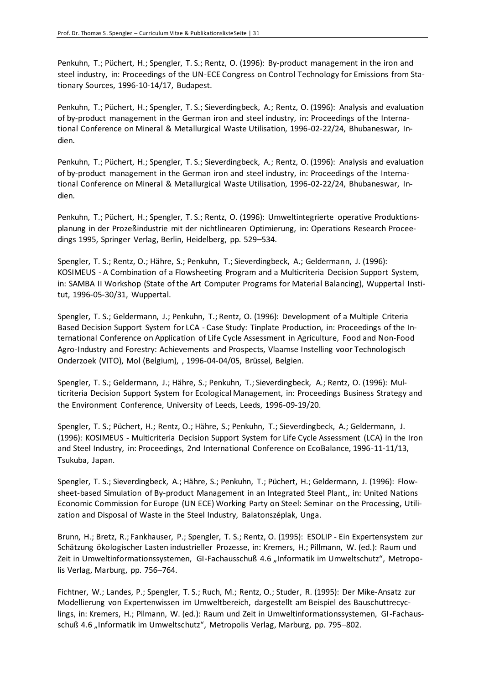Penkuhn, T.; Püchert, H.; Spengler, T. S.; Rentz, O. (1996): By-product management in the iron and steel industry, in: Proceedings of the UN-ECE Congress on Control Technology for Emissions from Stationary Sources, 1996-10-14/17, Budapest.

Penkuhn, T.; Püchert, H.; Spengler, T. S.; Sieverdingbeck, A.; Rentz, O. (1996): Analysis and evaluation of by-product management in the German iron and steel industry, in: Proceedings of the International Conference on Mineral & Metallurgical Waste Utilisation, 1996-02-22/24, Bhubaneswar, Indien.

Penkuhn, T.; Püchert, H.; Spengler, T. S.; Sieverdingbeck, A.; Rentz, O. (1996): Analysis and evaluation of by-product management in the German iron and steel industry, in: Proceedings of the International Conference on Mineral & Metallurgical Waste Utilisation, 1996-02-22/24, Bhubaneswar, Indien.

Penkuhn, T.; Püchert, H.; Spengler, T. S.; Rentz, O. (1996): Umweltintegrierte operative Produktionsplanung in der Prozeßindustrie mit der nichtlinearen Optimierung, in: Operations Research Proceedings 1995, Springer Verlag, Berlin, Heidelberg, pp. 529–534.

Spengler, T. S.; Rentz, O.; Hähre, S.; Penkuhn, T.; Sieverdingbeck, A.; Geldermann, J. (1996): KOSIMEUS - A Combination of a Flowsheeting Program and a Multicriteria Decision Support System, in: SAMBA II Workshop (State of the Art Computer Programs for Material Balancing), Wuppertal Institut, 1996-05-30/31, Wuppertal.

Spengler, T. S.; Geldermann, J.; Penkuhn, T.; Rentz, O. (1996): Development of a Multiple Criteria Based Decision Support System for LCA - Case Study: Tinplate Production, in: Proceedings of the International Conference on Application of Life Cycle Assessment in Agriculture, Food and Non-Food Agro-Industry and Forestry: Achievements and Prospects, Vlaamse Instelling voor Technologisch Onderzoek (VITO), Mol (Belgium), , 1996-04-04/05, Brüssel, Belgien.

Spengler, T. S.; Geldermann, J.; Hähre, S.; Penkuhn, T.; Sieverdingbeck, A.; Rentz, O. (1996): Multicriteria Decision Support System for Ecological Management, in: Proceedings Business Strategy and the Environment Conference, University of Leeds, Leeds, 1996-09-19/20.

Spengler, T. S.; Püchert, H.; Rentz, O.; Hähre, S.; Penkuhn, T.; Sieverdingbeck, A.; Geldermann, J. (1996): KOSIMEUS - Multicriteria Decision Support System for Life Cycle Assessment (LCA) in the Iron and Steel Industry, in: Proceedings, 2nd International Conference on EcoBalance, 1996-11-11/13, Tsukuba, Japan.

Spengler, T. S.; Sieverdingbeck, A.; Hähre, S.; Penkuhn, T.; Püchert, H.; Geldermann, J. (1996): Flowsheet-based Simulation of By-product Management in an Integrated Steel Plant,, in: United Nations Economic Commission for Europe (UN ECE) Working Party on Steel: Seminar on the Processing, Utilization and Disposal of Waste in the Steel Industry, Balatonszéplak, Unga.

Brunn, H.; Bretz, R.; Fankhauser, P.; Spengler, T. S.; Rentz, O. (1995): ESOLIP - Ein Expertensystem zur Schätzung ökologischer Lasten industrieller Prozesse, in: Kremers, H.; Pillmann, W. (ed.): Raum und Zeit in Umweltinformationssystemen, GI-Fachausschuß 4.6 "Informatik im Umweltschutz", Metropolis Verlag, Marburg, pp. 756–764.

Fichtner, W.; Landes, P.; Spengler, T. S.; Ruch, M.; Rentz, O.; Studer, R. (1995): Der Mike-Ansatz zur Modellierung von Expertenwissen im Umweltbereich, dargestellt am Beispiel des Bauschuttrecyclings, in: Kremers, H.; Pilmann, W. (ed.): Raum und Zeit in Umweltinformationssystemen, GI-Fachausschuß 4.6 "Informatik im Umweltschutz", Metropolis Verlag, Marburg, pp. 795-802.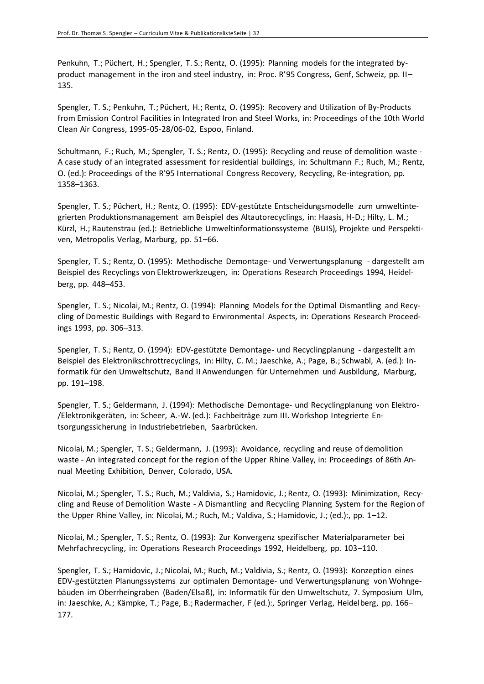Penkuhn, T.; Püchert, H.; Spengler, T. S.; Rentz, O. (1995): Planning models for the integrated byproduct management in the iron and steel industry, in: Proc. R'95 Congress, Genf, Schweiz, pp. II– 135.

Spengler, T. S.; Penkuhn, T.; Püchert, H.; Rentz, O. (1995): Recovery and Utilization of By-Products from Emission Control Facilities in Integrated Iron and Steel Works, in: Proceedings of the 10th World Clean Air Congress, 1995-05-28/06-02, Espoo, Finland.

Schultmann, F.; Ruch, M.; Spengler, T. S.; Rentz, O. (1995): Recycling and reuse of demolition waste - A case study of an integrated assessment for residential buildings, in: Schultmann F.; Ruch, M.; Rentz, O. (ed.): Proceedings of the R'95 International Congress Recovery, Recycling, Re-integration, pp. 1358–1363.

Spengler, T. S.; Püchert, H.; Rentz, O. (1995): EDV-gestützte Entscheidungsmodelle zum umweltintegrierten Produktionsmanagement am Beispiel des Altautorecyclings, in: Haasis, H-D.; Hilty, L. M.; Kürzl, H.; Rautenstrau (ed.): Betriebliche Umweltinformationssysteme (BUIS), Projekte und Perspektiven, Metropolis Verlag, Marburg, pp. 51–66.

Spengler, T. S.; Rentz, O. (1995): Methodische Demontage- und Verwertungsplanung - dargestellt am Beispiel des Recyclings von Elektrowerkzeugen, in: Operations Research Proceedings 1994, Heidelberg, pp. 448–453.

Spengler, T. S.; Nicolai, M.; Rentz, O. (1994): Planning Models for the Optimal Dismantling and Recycling of Domestic Buildings with Regard to Environmental Aspects, in: Operations Research Proceedings 1993, pp. 306–313.

Spengler, T. S.; Rentz, O. (1994): EDV-gestützte Demontage- und Recyclingplanung - dargestellt am Beispiel des Elektronikschrottrecyclings, in: Hilty, C. M.; Jaeschke, A.; Page, B.; Schwabl, A. (ed.): Informatik für den Umweltschutz, Band II Anwendungen für Unternehmen und Ausbildung, Marburg, pp. 191–198.

Spengler, T. S.; Geldermann, J. (1994): Methodische Demontage- und Recyclingplanung von Elektro- /Elektronikgeräten, in: Scheer, A.-W. (ed.): Fachbeiträge zum III. Workshop Integrierte Entsorgungssicherung in Industriebetrieben, Saarbrücken.

Nicolai, M.; Spengler, T. S.; Geldermann, J. (1993): Avoidance, recycling and reuse of demolition waste - An integrated concept for the region of the Upper Rhine Valley, in: Proceedings of 86th Annual Meeting Exhibition, Denver, Colorado, USA.

Nicolai, M.; Spengler, T. S.; Ruch, M.; Valdivia, S.; Hamidovic, J.; Rentz, O. (1993): Minimization, Recycling and Reuse of Demolition Waste - A Dismantling and Recycling Planning System for the Region of the Upper Rhine Valley, in: Nicolai, M.; Ruch, M.; Valdiva, S.; Hamidovic, J.; (ed.):, pp. 1–12.

Nicolai, M.; Spengler, T. S.; Rentz, O. (1993): Zur Konvergenz spezifischer Materialparameter bei Mehrfachrecycling, in: Operations Research Proceedings 1992, Heidelberg, pp. 103–110.

Spengler, T. S.; Hamidovic, J.; Nicolai, M.; Ruch, M.; Valdivia, S.; Rentz, O. (1993): Konzeption eines EDV-gestützten Planungssystems zur optimalen Demontage- und Verwertungsplanung von Wohngebäuden im Oberrheingraben (Baden/Elsaß), in: Informatik für den Umweltschutz, 7. Symposium Ulm, in: Jaeschke, A.; Kämpke, T.; Page, B.; Radermacher, F (ed.):, Springer Verlag, Heidelberg, pp. 166– 177.